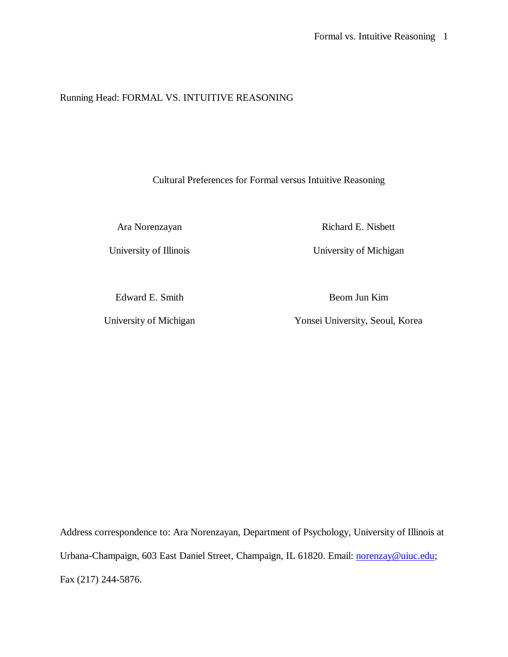# Running Head: FORMAL VS. INTUITIVE REASONING

Cultural Preferences for Formal versus Intuitive Reasoning

Ara Norenzayan Richard E. Nisbett

University of Illinois University of Michigan

Edward E. Smith Beom Jun Kim

University of Michigan Yonsei University, Seoul, Korea

Address correspondence to: Ara Norenzayan, Department of Psychology, University of Illinois at Urbana-Champaign, 603 East Daniel Street, Champaign, IL 61820. Email: norenzay@uiuc.edu; Fax (217) 244-5876.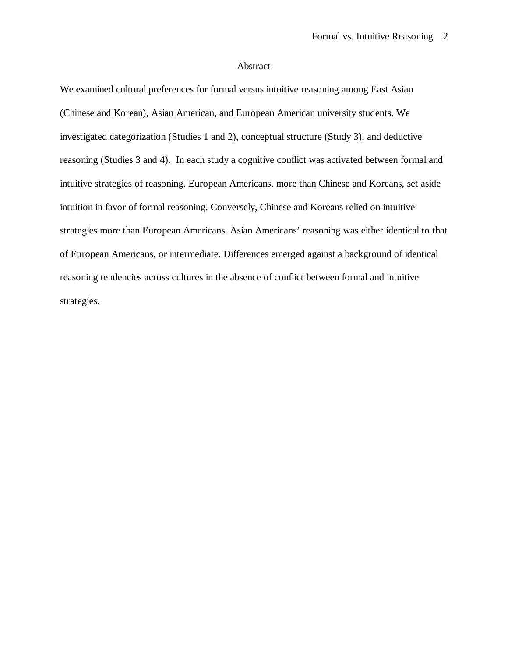### Abstract

We examined cultural preferences for formal versus intuitive reasoning among East Asian (Chinese and Korean), Asian American, and European American university students. We investigated categorization (Studies 1 and 2), conceptual structure (Study 3), and deductive reasoning (Studies 3 and 4). In each study a cognitive conflict was activated between formal and intuitive strategies of reasoning. European Americans, more than Chinese and Koreans, set aside intuition in favor of formal reasoning. Conversely, Chinese and Koreans relied on intuitive strategies more than European Americans. Asian Americans' reasoning was either identical to that of European Americans, or intermediate. Differences emerged against a background of identical reasoning tendencies across cultures in the absence of conflict between formal and intuitive strategies.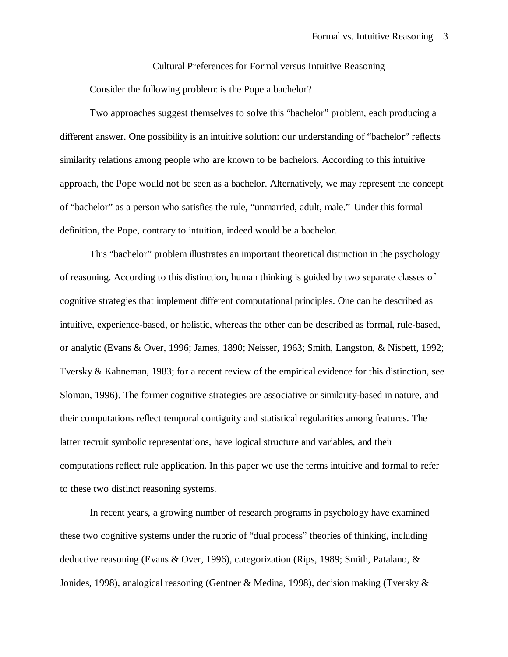Cultural Preferences for Formal versus Intuitive Reasoning

Consider the following problem: is the Pope a bachelor?

Two approaches suggest themselves to solve this "bachelor" problem, each producing a different answer. One possibility is an intuitive solution: our understanding of "bachelor" reflects similarity relations among people who are known to be bachelors. According to this intuitive approach, the Pope would not be seen as a bachelor. Alternatively, we may represent the concept of "bachelor" as a person who satisfies the rule, "unmarried, adult, male." Under this formal definition, the Pope, contrary to intuition, indeed would be a bachelor.

This "bachelor" problem illustrates an important theoretical distinction in the psychology of reasoning. According to this distinction, human thinking is guided by two separate classes of cognitive strategies that implement different computational principles. One can be described as intuitive, experience-based, or holistic, whereas the other can be described as formal, rule-based, or analytic (Evans & Over, 1996; James, 1890; Neisser, 1963; Smith, Langston, & Nisbett, 1992; Tversky & Kahneman, 1983; for a recent review of the empirical evidence for this distinction, see Sloman, 1996). The former cognitive strategies are associative or similarity-based in nature, and their computations reflect temporal contiguity and statistical regularities among features. The latter recruit symbolic representations, have logical structure and variables, and their computations reflect rule application. In this paper we use the terms intuitive and formal to refer to these two distinct reasoning systems.

In recent years, a growing number of research programs in psychology have examined these two cognitive systems under the rubric of "dual process" theories of thinking, including deductive reasoning (Evans & Over, 1996), categorization (Rips, 1989; Smith, Patalano, & Jonides, 1998), analogical reasoning (Gentner & Medina, 1998), decision making (Tversky &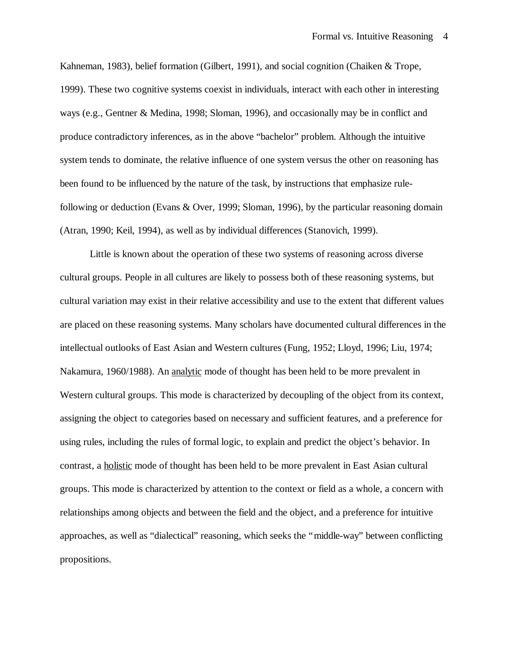Kahneman, 1983), belief formation (Gilbert, 1991), and social cognition (Chaiken & Trope, 1999). These two cognitive systems coexist in individuals, interact with each other in interesting ways (e.g., Gentner & Medina, 1998; Sloman, 1996), and occasionally may be in conflict and produce contradictory inferences, as in the above "bachelor" problem. Although the intuitive system tends to dominate, the relative influence of one system versus the other on reasoning has been found to be influenced by the nature of the task, by instructions that emphasize rulefollowing or deduction (Evans & Over, 1999; Sloman, 1996), by the particular reasoning domain (Atran, 1990; Keil, 1994), as well as by individual differences (Stanovich, 1999).

Little is known about the operation of these two systems of reasoning across diverse cultural groups. People in all cultures are likely to possess both of these reasoning systems, but cultural variation may exist in their relative accessibility and use to the extent that different values are placed on these reasoning systems. Many scholars have documented cultural differences in the intellectual outlooks of East Asian and Western cultures (Fung, 1952; Lloyd, 1996; Liu, 1974; Nakamura, 1960/1988). An analytic mode of thought has been held to be more prevalent in Western cultural groups. This mode is characterized by decoupling of the object from its context, assigning the object to categories based on necessary and sufficient features, and a preference for using rules, including the rules of formal logic, to explain and predict the object's behavior. In contrast, a holistic mode of thought has been held to be more prevalent in East Asian cultural groups. This mode is characterized by attention to the context or field as a whole, a concern with relationships among objects and between the field and the object, and a preference for intuitive approaches, as well as "dialectical" reasoning, which seeks the "middle-way" between conflicting propositions.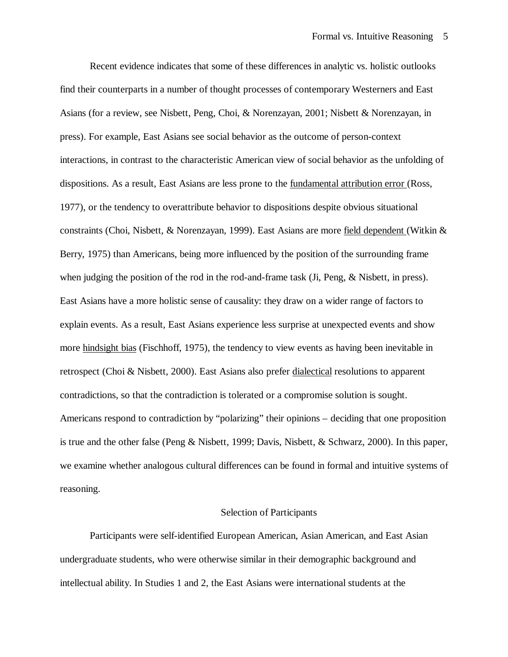Recent evidence indicates that some of these differences in analytic vs. holistic outlooks find their counterparts in a number of thought processes of contemporary Westerners and East Asians (for a review, see Nisbett, Peng, Choi, & Norenzayan, 2001; Nisbett & Norenzayan, in press). For example, East Asians see social behavior as the outcome of person-context interactions, in contrast to the characteristic American view of social behavior as the unfolding of dispositions. As a result, East Asians are less prone to the fundamental attribution error (Ross, 1977), or the tendency to overattribute behavior to dispositions despite obvious situational constraints (Choi, Nisbett, & Norenzayan, 1999). East Asians are more field dependent (Witkin & Berry, 1975) than Americans, being more influenced by the position of the surrounding frame when judging the position of the rod in the rod-and-frame task (Ji, Peng, & Nisbett, in press). East Asians have a more holistic sense of causality: they draw on a wider range of factors to explain events. As a result, East Asians experience less surprise at unexpected events and show more hindsight bias (Fischhoff, 1975), the tendency to view events as having been inevitable in retrospect (Choi & Nisbett, 2000). East Asians also prefer dialectical resolutions to apparent contradictions, so that the contradiction is tolerated or a compromise solution is sought. Americans respond to contradiction by "polarizing" their opinions – deciding that one proposition is true and the other false (Peng & Nisbett, 1999; Davis, Nisbett, & Schwarz, 2000). In this paper, we examine whether analogous cultural differences can be found in formal and intuitive systems of reasoning.

#### Selection of Participants

Participants were self-identified European American, Asian American, and East Asian undergraduate students, who were otherwise similar in their demographic background and intellectual ability. In Studies 1 and 2, the East Asians were international students at the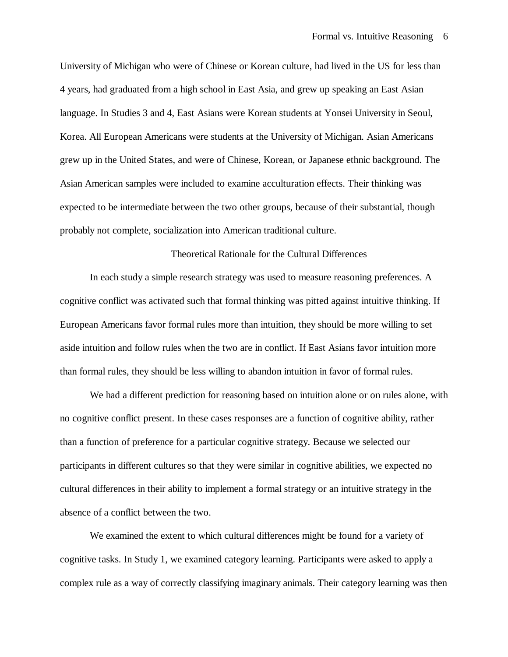University of Michigan who were of Chinese or Korean culture, had lived in the US for less than 4 years, had graduated from a high school in East Asia, and grew up speaking an East Asian language. In Studies 3 and 4, East Asians were Korean students at Yonsei University in Seoul, Korea. All European Americans were students at the University of Michigan. Asian Americans grew up in the United States, and were of Chinese, Korean, or Japanese ethnic background. The Asian American samples were included to examine acculturation effects. Their thinking was expected to be intermediate between the two other groups, because of their substantial, though probably not complete, socialization into American traditional culture.

### Theoretical Rationale for the Cultural Differences

In each study a simple research strategy was used to measure reasoning preferences. A cognitive conflict was activated such that formal thinking was pitted against intuitive thinking. If European Americans favor formal rules more than intuition, they should be more willing to set aside intuition and follow rules when the two are in conflict. If East Asians favor intuition more than formal rules, they should be less willing to abandon intuition in favor of formal rules.

We had a different prediction for reasoning based on intuition alone or on rules alone, with no cognitive conflict present. In these cases responses are a function of cognitive ability, rather than a function of preference for a particular cognitive strategy. Because we selected our participants in different cultures so that they were similar in cognitive abilities, we expected no cultural differences in their ability to implement a formal strategy or an intuitive strategy in the absence of a conflict between the two.

We examined the extent to which cultural differences might be found for a variety of cognitive tasks. In Study 1, we examined category learning. Participants were asked to apply a complex rule as a way of correctly classifying imaginary animals. Their category learning was then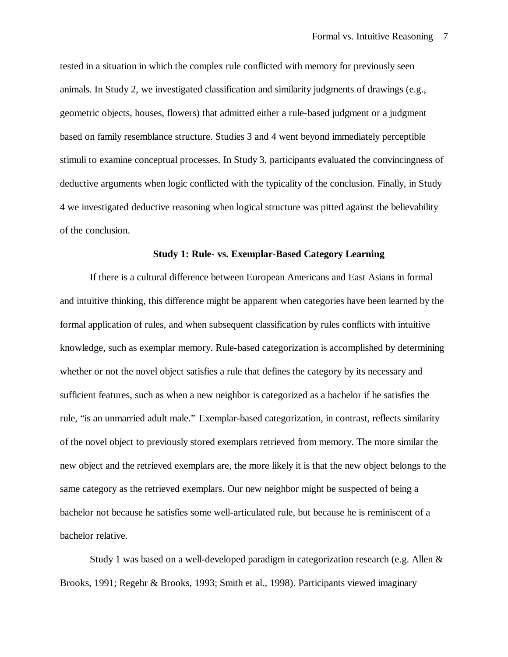tested in a situation in which the complex rule conflicted with memory for previously seen animals. In Study 2, we investigated classification and similarity judgments of drawings (e.g., geometric objects, houses, flowers) that admitted either a rule-based judgment or a judgment based on family resemblance structure. Studies 3 and 4 went beyond immediately perceptible stimuli to examine conceptual processes. In Study 3, participants evaluated the convincingness of deductive arguments when logic conflicted with the typicality of the conclusion. Finally, in Study 4 we investigated deductive reasoning when logical structure was pitted against the believability of the conclusion.

### **Study 1: Rule- vs. Exemplar-Based Category Learning**

If there is a cultural difference between European Americans and East Asians in formal and intuitive thinking, this difference might be apparent when categories have been learned by the formal application of rules, and when subsequent classification by rules conflicts with intuitive knowledge, such as exemplar memory. Rule-based categorization is accomplished by determining whether or not the novel object satisfies a rule that defines the category by its necessary and sufficient features, such as when a new neighbor is categorized as a bachelor if he satisfies the rule, "is an unmarried adult male." Exemplar-based categorization, in contrast, reflects similarity of the novel object to previously stored exemplars retrieved from memory. The more similar the new object and the retrieved exemplars are, the more likely it is that the new object belongs to the same category as the retrieved exemplars. Our new neighbor might be suspected of being a bachelor not because he satisfies some well-articulated rule, but because he is reminiscent of a bachelor relative.

Study 1 was based on a well-developed paradigm in categorization research (e.g. Allen & Brooks, 1991; Regehr & Brooks, 1993; Smith et al., 1998). Participants viewed imaginary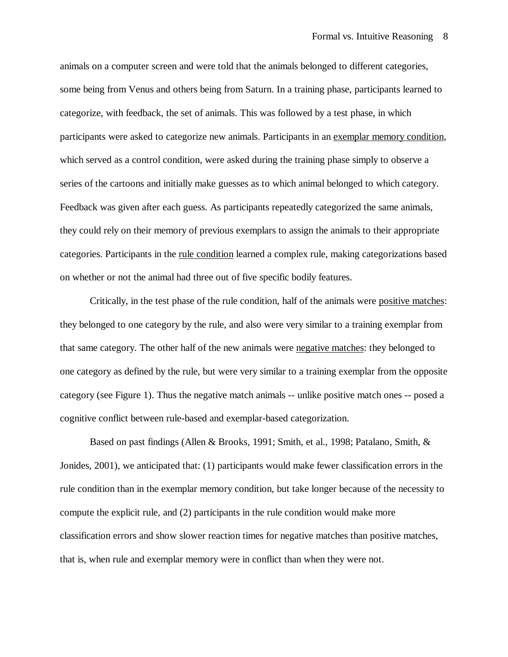animals on a computer screen and were told that the animals belonged to different categories, some being from Venus and others being from Saturn. In a training phase, participants learned to categorize, with feedback, the set of animals. This was followed by a test phase, in which participants were asked to categorize new animals. Participants in an exemplar memory condition, which served as a control condition, were asked during the training phase simply to observe a series of the cartoons and initially make guesses as to which animal belonged to which category. Feedback was given after each guess. As participants repeatedly categorized the same animals, they could rely on their memory of previous exemplars to assign the animals to their appropriate categories. Participants in the rule condition learned a complex rule, making categorizations based on whether or not the animal had three out of five specific bodily features.

Critically, in the test phase of the rule condition, half of the animals were positive matches: they belonged to one category by the rule, and also were very similar to a training exemplar from that same category. The other half of the new animals were negative matches: they belonged to one category as defined by the rule, but were very similar to a training exemplar from the opposite category (see Figure 1). Thus the negative match animals -- unlike positive match ones -- posed a cognitive conflict between rule-based and exemplar-based categorization.

Based on past findings (Allen & Brooks, 1991; Smith, et al., 1998; Patalano, Smith, & Jonides, 2001), we anticipated that: (1) participants would make fewer classification errors in the rule condition than in the exemplar memory condition, but take longer because of the necessity to compute the explicit rule, and (2) participants in the rule condition would make more classification errors and show slower reaction times for negative matches than positive matches, that is, when rule and exemplar memory were in conflict than when they were not.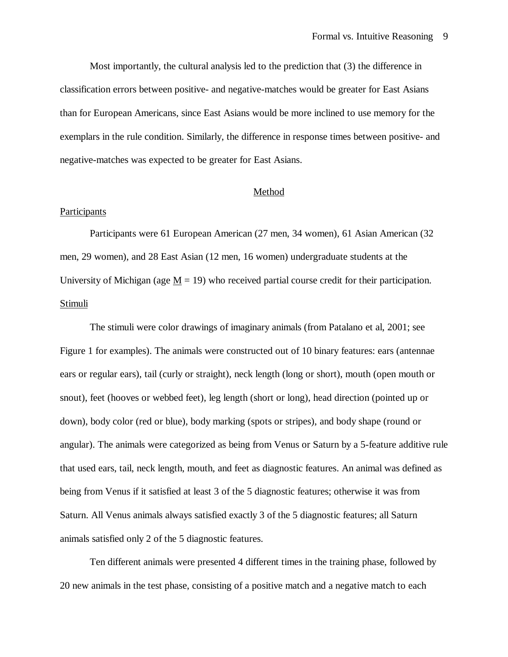Most importantly, the cultural analysis led to the prediction that (3) the difference in classification errors between positive- and negative-matches would be greater for East Asians than for European Americans, since East Asians would be more inclined to use memory for the exemplars in the rule condition. Similarly, the difference in response times between positive- and negative-matches was expected to be greater for East Asians.

# Method

# Participants

Participants were 61 European American (27 men, 34 women), 61 Asian American (32 men, 29 women), and 28 East Asian (12 men, 16 women) undergraduate students at the University of Michigan (age  $M = 19$ ) who received partial course credit for their participation. Stimuli

The stimuli were color drawings of imaginary animals (from Patalano et al, 2001; see Figure 1 for examples). The animals were constructed out of 10 binary features: ears (antennae ears or regular ears), tail (curly or straight), neck length (long or short), mouth (open mouth or snout), feet (hooves or webbed feet), leg length (short or long), head direction (pointed up or down), body color (red or blue), body marking (spots or stripes), and body shape (round or angular). The animals were categorized as being from Venus or Saturn by a 5-feature additive rule that used ears, tail, neck length, mouth, and feet as diagnostic features. An animal was defined as being from Venus if it satisfied at least 3 of the 5 diagnostic features; otherwise it was from Saturn. All Venus animals always satisfied exactly 3 of the 5 diagnostic features; all Saturn animals satisfied only 2 of the 5 diagnostic features.

Ten different animals were presented 4 different times in the training phase, followed by 20 new animals in the test phase, consisting of a positive match and a negative match to each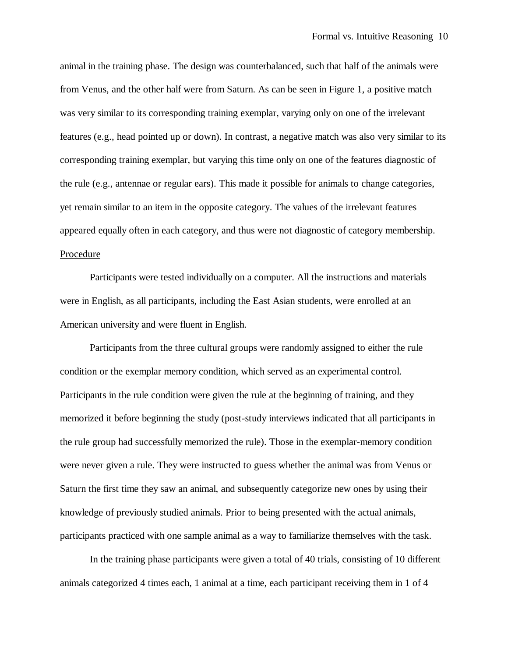animal in the training phase. The design was counterbalanced, such that half of the animals were from Venus, and the other half were from Saturn. As can be seen in Figure 1, a positive match was very similar to its corresponding training exemplar, varying only on one of the irrelevant features (e.g., head pointed up or down). In contrast, a negative match was also very similar to its corresponding training exemplar, but varying this time only on one of the features diagnostic of the rule (e.g., antennae or regular ears). This made it possible for animals to change categories, yet remain similar to an item in the opposite category. The values of the irrelevant features appeared equally often in each category, and thus were not diagnostic of category membership. Procedure

Participants were tested individually on a computer. All the instructions and materials were in English, as all participants, including the East Asian students, were enrolled at an American university and were fluent in English.

Participants from the three cultural groups were randomly assigned to either the rule condition or the exemplar memory condition, which served as an experimental control. Participants in the rule condition were given the rule at the beginning of training, and they memorized it before beginning the study (post-study interviews indicated that all participants in the rule group had successfully memorized the rule). Those in the exemplar-memory condition were never given a rule. They were instructed to guess whether the animal was from Venus or Saturn the first time they saw an animal, and subsequently categorize new ones by using their knowledge of previously studied animals. Prior to being presented with the actual animals, participants practiced with one sample animal as a way to familiarize themselves with the task.

In the training phase participants were given a total of 40 trials, consisting of 10 different animals categorized 4 times each, 1 animal at a time, each participant receiving them in 1 of 4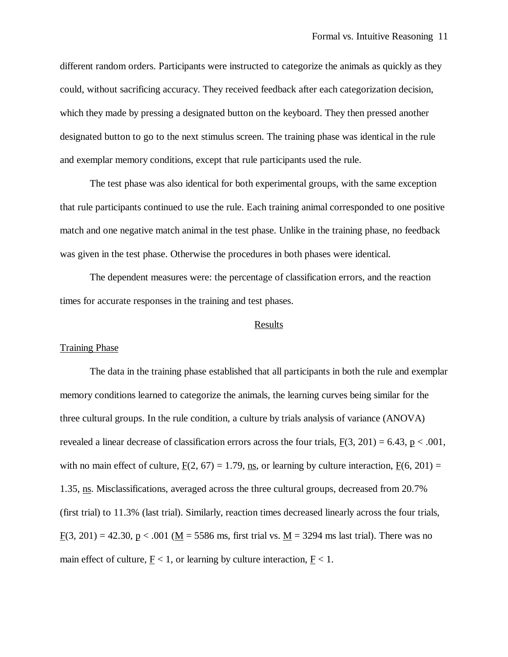different random orders. Participants were instructed to categorize the animals as quickly as they could, without sacrificing accuracy. They received feedback after each categorization decision, which they made by pressing a designated button on the keyboard. They then pressed another designated button to go to the next stimulus screen. The training phase was identical in the rule and exemplar memory conditions, except that rule participants used the rule.

The test phase was also identical for both experimental groups, with the same exception that rule participants continued to use the rule. Each training animal corresponded to one positive match and one negative match animal in the test phase. Unlike in the training phase, no feedback was given in the test phase. Otherwise the procedures in both phases were identical.

The dependent measures were: the percentage of classification errors, and the reaction times for accurate responses in the training and test phases.

### Results

# Training Phase

The data in the training phase established that all participants in both the rule and exemplar memory conditions learned to categorize the animals, the learning curves being similar for the three cultural groups. In the rule condition, a culture by trials analysis of variance (ANOVA) revealed a linear decrease of classification errors across the four trials,  $F(3, 201) = 6.43$ , p < .001, with no main effect of culture,  $F(2, 67) = 1.79$ , ns, or learning by culture interaction,  $F(6, 201) =$ 1.35, ns. Misclassifications, averaged across the three cultural groups, decreased from 20.7% (first trial) to 11.3% (last trial). Similarly, reaction times decreased linearly across the four trials, F(3, 201) = 42.30, p < .001 (M = 5586 ms, first trial vs. M = 3294 ms last trial). There was no main effect of culture,  $E < 1$ , or learning by culture interaction,  $E < 1$ .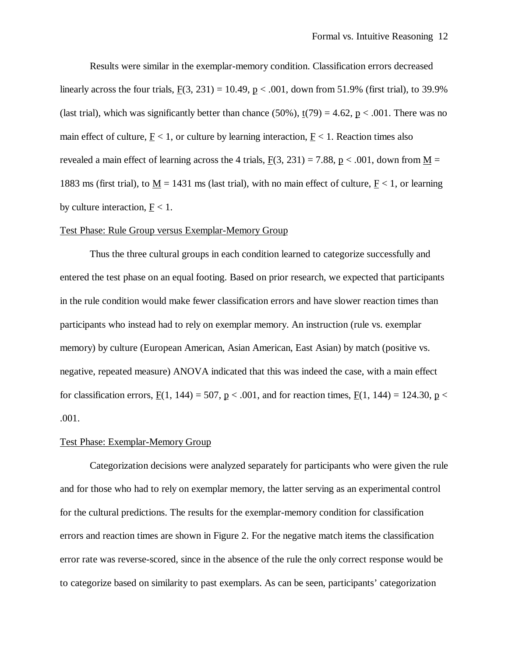Results were similar in the exemplar-memory condition. Classification errors decreased linearly across the four trials,  $F(3, 231) = 10.49$ ,  $p < .001$ , down from 51.9% (first trial), to 39.9% (last trial), which was significantly better than chance (50%),  $t(79) = 4.62$ ,  $p < .001$ . There was no main effect of culture,  $\underline{F}$  < 1, or culture by learning interaction,  $\underline{F}$  < 1. Reaction times also revealed a main effect of learning across the 4 trials,  $F(3, 231) = 7.88$ ,  $p < .001$ , down from M = 1883 ms (first trial), to  $M = 1431$  ms (last trial), with no main effect of culture,  $F < 1$ , or learning by culture interaction,  $F < 1$ .

# Test Phase: Rule Group versus Exemplar-Memory Group

Thus the three cultural groups in each condition learned to categorize successfully and entered the test phase on an equal footing. Based on prior research, we expected that participants in the rule condition would make fewer classification errors and have slower reaction times than participants who instead had to rely on exemplar memory. An instruction (rule vs. exemplar memory) by culture (European American, Asian American, East Asian) by match (positive vs. negative, repeated measure) ANOVA indicated that this was indeed the case, with a main effect for classification errors, F(1, 144) = 507, p < .001, and for reaction times, F(1, 144) = 124.30, p < .001.

# Test Phase: Exemplar-Memory Group

Categorization decisions were analyzed separately for participants who were given the rule and for those who had to rely on exemplar memory, the latter serving as an experimental control for the cultural predictions. The results for the exemplar-memory condition for classification errors and reaction times are shown in Figure 2. For the negative match items the classification error rate was reverse-scored, since in the absence of the rule the only correct response would be to categorize based on similarity to past exemplars. As can be seen, participants' categorization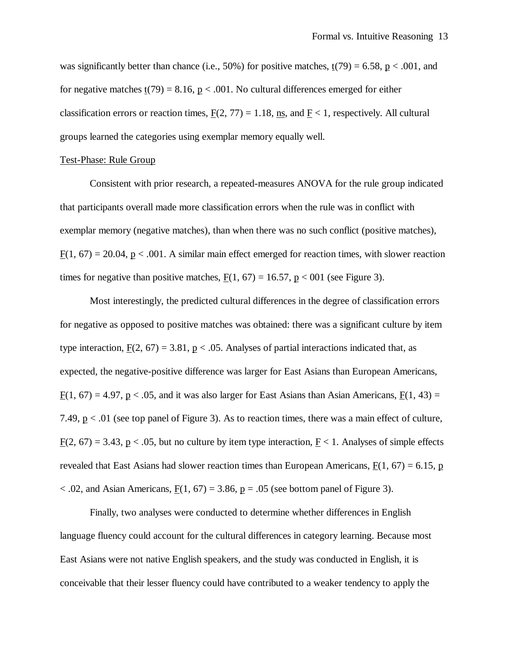was significantly better than chance (i.e., 50%) for positive matches,  $t(79) = 6.58$ ,  $p < .001$ , and for negative matches  $t(79) = 8.16$ ,  $p < .001$ . No cultural differences emerged for either classification errors or reaction times,  $F(2, 77) = 1.18$ , ns, and  $F < 1$ , respectively. All cultural groups learned the categories using exemplar memory equally well.

### Test-Phase: Rule Group

Consistent with prior research, a repeated-measures ANOVA for the rule group indicated that participants overall made more classification errors when the rule was in conflict with exemplar memory (negative matches), than when there was no such conflict (positive matches),  $F(1, 67) = 20.04$ ,  $p < .001$ . A similar main effect emerged for reaction times, with slower reaction times for negative than positive matches,  $F(1, 67) = 16.57$ ,  $p < 001$  (see Figure 3).

Most interestingly, the predicted cultural differences in the degree of classification errors for negative as opposed to positive matches was obtained: there was a significant culture by item type interaction,  $F(2, 67) = 3.81$ ,  $p < .05$ . Analyses of partial interactions indicated that, as expected, the negative-positive difference was larger for East Asians than European Americans,  $F(1, 67) = 4.97$ ,  $p < .05$ , and it was also larger for East Asians than Asian Americans,  $F(1, 43) =$ 7.49, p < .01 (see top panel of Figure 3). As to reaction times, there was a main effect of culture,  $F(2, 67) = 3.43$ , p < .05, but no culture by item type interaction, F < 1. Analyses of simple effects revealed that East Asians had slower reaction times than European Americans,  $F(1, 67) = 6.15$ , p  $<$  0.02, and Asian Americans,  $F(1, 67) = 3.86$ ,  $p = 0.05$  (see bottom panel of Figure 3).

Finally, two analyses were conducted to determine whether differences in English language fluency could account for the cultural differences in category learning. Because most East Asians were not native English speakers, and the study was conducted in English, it is conceivable that their lesser fluency could have contributed to a weaker tendency to apply the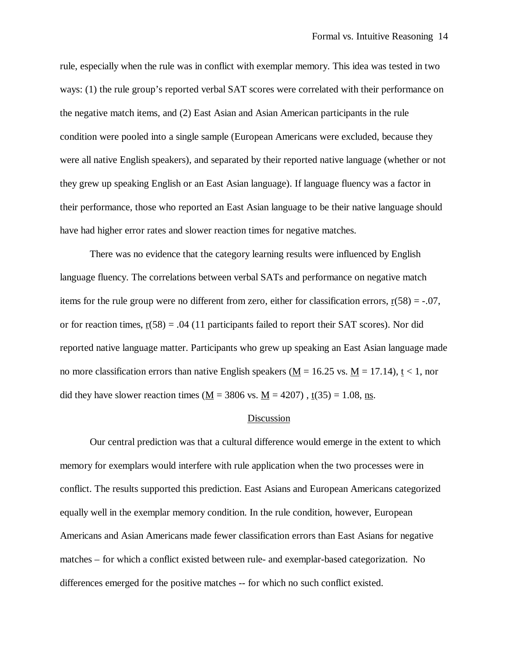rule, especially when the rule was in conflict with exemplar memory. This idea was tested in two ways: (1) the rule group's reported verbal SAT scores were correlated with their performance on the negative match items, and (2) East Asian and Asian American participants in the rule condition were pooled into a single sample (European Americans were excluded, because they were all native English speakers), and separated by their reported native language (whether or not they grew up speaking English or an East Asian language). If language fluency was a factor in their performance, those who reported an East Asian language to be their native language should have had higher error rates and slower reaction times for negative matches.

There was no evidence that the category learning results were influenced by English language fluency. The correlations between verbal SATs and performance on negative match items for the rule group were no different from zero, either for classification errors,  $r(58) = -.07$ , or for reaction times,  $r(58) = .04$  (11 participants failed to report their SAT scores). Nor did reported native language matter. Participants who grew up speaking an East Asian language made no more classification errors than native English speakers ( $M = 16.25$  vs.  $M = 17.14$ ),  $t < 1$ , nor did they have slower reaction times (M = 3806 vs. M = 4207),  $t(35) = 1.08$ , ns.

#### Discussion

Our central prediction was that a cultural difference would emerge in the extent to which memory for exemplars would interfere with rule application when the two processes were in conflict. The results supported this prediction. East Asians and European Americans categorized equally well in the exemplar memory condition. In the rule condition, however, European Americans and Asian Americans made fewer classification errors than East Asians for negative matches – for which a conflict existed between rule- and exemplar-based categorization. No differences emerged for the positive matches -- for which no such conflict existed.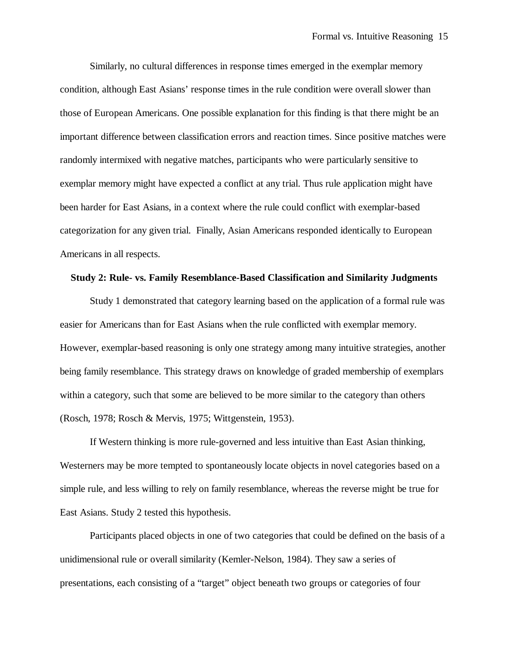Similarly, no cultural differences in response times emerged in the exemplar memory condition, although East Asians' response times in the rule condition were overall slower than those of European Americans. One possible explanation for this finding is that there might be an important difference between classification errors and reaction times. Since positive matches were randomly intermixed with negative matches, participants who were particularly sensitive to exemplar memory might have expected a conflict at any trial. Thus rule application might have been harder for East Asians, in a context where the rule could conflict with exemplar-based categorization for any given trial. Finally, Asian Americans responded identically to European Americans in all respects.

#### **Study 2: Rule- vs. Family Resemblance-Based Classification and Similarity Judgments**

Study 1 demonstrated that category learning based on the application of a formal rule was easier for Americans than for East Asians when the rule conflicted with exemplar memory. However, exemplar-based reasoning is only one strategy among many intuitive strategies, another being family resemblance. This strategy draws on knowledge of graded membership of exemplars within a category, such that some are believed to be more similar to the category than others (Rosch, 1978; Rosch & Mervis, 1975; Wittgenstein, 1953).

If Western thinking is more rule-governed and less intuitive than East Asian thinking, Westerners may be more tempted to spontaneously locate objects in novel categories based on a simple rule, and less willing to rely on family resemblance, whereas the reverse might be true for East Asians. Study 2 tested this hypothesis.

Participants placed objects in one of two categories that could be defined on the basis of a unidimensional rule or overall similarity (Kemler-Nelson, 1984). They saw a series of presentations, each consisting of a "target" object beneath two groups or categories of four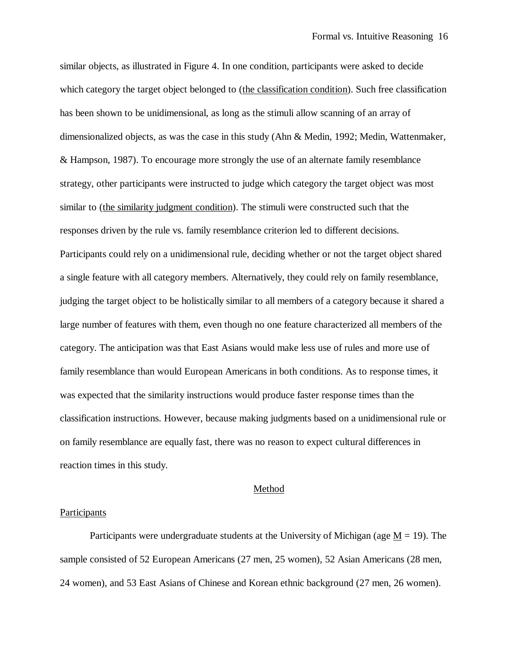similar objects, as illustrated in Figure 4. In one condition, participants were asked to decide which category the target object belonged to (the classification condition). Such free classification has been shown to be unidimensional, as long as the stimuli allow scanning of an array of dimensionalized objects, as was the case in this study (Ahn & Medin, 1992; Medin, Wattenmaker, & Hampson, 1987). To encourage more strongly the use of an alternate family resemblance strategy, other participants were instructed to judge which category the target object was most similar to (the similarity judgment condition). The stimuli were constructed such that the responses driven by the rule vs. family resemblance criterion led to different decisions. Participants could rely on a unidimensional rule, deciding whether or not the target object shared a single feature with all category members. Alternatively, they could rely on family resemblance, judging the target object to be holistically similar to all members of a category because it shared a large number of features with them, even though no one feature characterized all members of the category. The anticipation was that East Asians would make less use of rules and more use of family resemblance than would European Americans in both conditions. As to response times, it was expected that the similarity instructions would produce faster response times than the classification instructions. However, because making judgments based on a unidimensional rule or on family resemblance are equally fast, there was no reason to expect cultural differences in reaction times in this study.

### Method

## Participants

Participants were undergraduate students at the University of Michigan (age  $M = 19$ ). The sample consisted of 52 European Americans (27 men, 25 women), 52 Asian Americans (28 men, 24 women), and 53 East Asians of Chinese and Korean ethnic background (27 men, 26 women).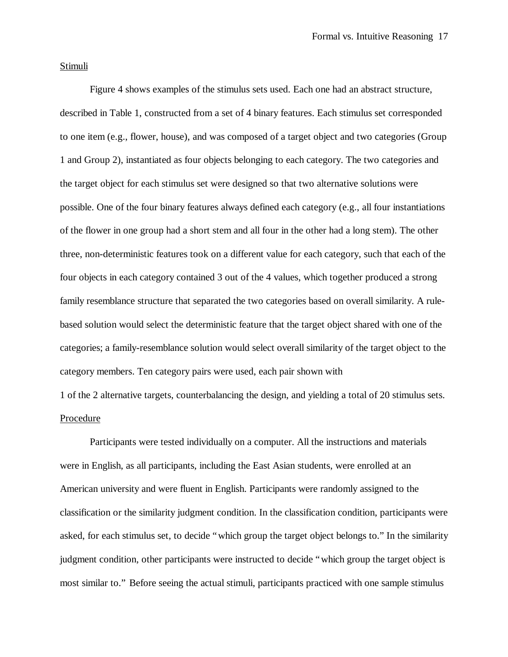# Stimuli

Figure 4 shows examples of the stimulus sets used. Each one had an abstract structure, described in Table 1, constructed from a set of 4 binary features. Each stimulus set corresponded to one item (e.g., flower, house), and was composed of a target object and two categories (Group 1 and Group 2), instantiated as four objects belonging to each category. The two categories and the target object for each stimulus set were designed so that two alternative solutions were possible. One of the four binary features always defined each category (e.g., all four instantiations of the flower in one group had a short stem and all four in the other had a long stem). The other three, non-deterministic features took on a different value for each category, such that each of the four objects in each category contained 3 out of the 4 values, which together produced a strong family resemblance structure that separated the two categories based on overall similarity. A rulebased solution would select the deterministic feature that the target object shared with one of the categories; a family-resemblance solution would select overall similarity of the target object to the category members. Ten category pairs were used, each pair shown with

1 of the 2 alternative targets, counterbalancing the design, and yielding a total of 20 stimulus sets. Procedure

Participants were tested individually on a computer. All the instructions and materials were in English, as all participants, including the East Asian students, were enrolled at an American university and were fluent in English. Participants were randomly assigned to the classification or the similarity judgment condition. In the classification condition, participants were asked, for each stimulus set, to decide "which group the target object belongs to." In the similarity judgment condition, other participants were instructed to decide "which group the target object is most similar to." Before seeing the actual stimuli, participants practiced with one sample stimulus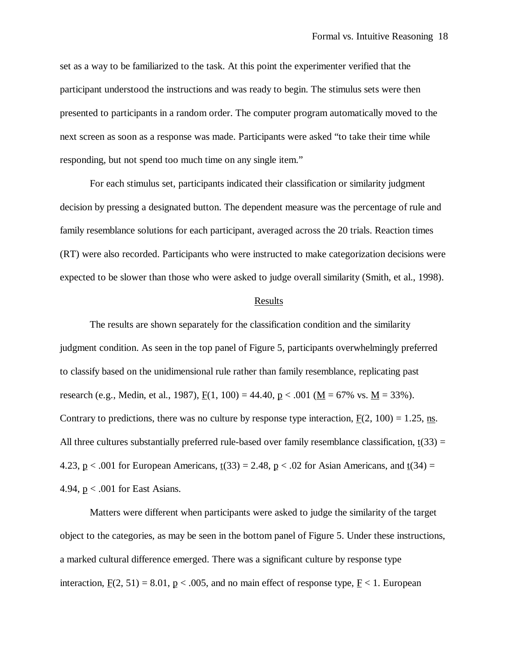set as a way to be familiarized to the task. At this point the experimenter verified that the participant understood the instructions and was ready to begin. The stimulus sets were then presented to participants in a random order. The computer program automatically moved to the next screen as soon as a response was made. Participants were asked "to take their time while responding, but not spend too much time on any single item."

For each stimulus set, participants indicated their classification or similarity judgment decision by pressing a designated button. The dependent measure was the percentage of rule and family resemblance solutions for each participant, averaged across the 20 trials. Reaction times (RT) were also recorded. Participants who were instructed to make categorization decisions were expected to be slower than those who were asked to judge overall similarity (Smith, et al., 1998).

### **Results**

The results are shown separately for the classification condition and the similarity judgment condition. As seen in the top panel of Figure 5, participants overwhelmingly preferred to classify based on the unidimensional rule rather than family resemblance, replicating past research (e.g., Medin, et al., 1987),  $F(1, 100) = 44.40$ ,  $p < .001$  ( $M = 67\%$  vs.  $M = 33\%$ ). Contrary to predictions, there was no culture by response type interaction,  $F(2, 100) = 1.25$ , ns. All three cultures substantially preferred rule-based over family resemblance classification,  $t(33) =$ 4.23,  $p < .001$  for European Americans,  $t(33) = 2.48$ ,  $p < .02$  for Asian Americans, and  $t(34) =$ 4.94, p < .001 for East Asians.

Matters were different when participants were asked to judge the similarity of the target object to the categories, as may be seen in the bottom panel of Figure 5. Under these instructions, a marked cultural difference emerged. There was a significant culture by response type interaction,  $\underline{F}(2, 51) = 8.01$ ,  $\underline{p} < .005$ , and no main effect of response type,  $\underline{F} < 1$ . European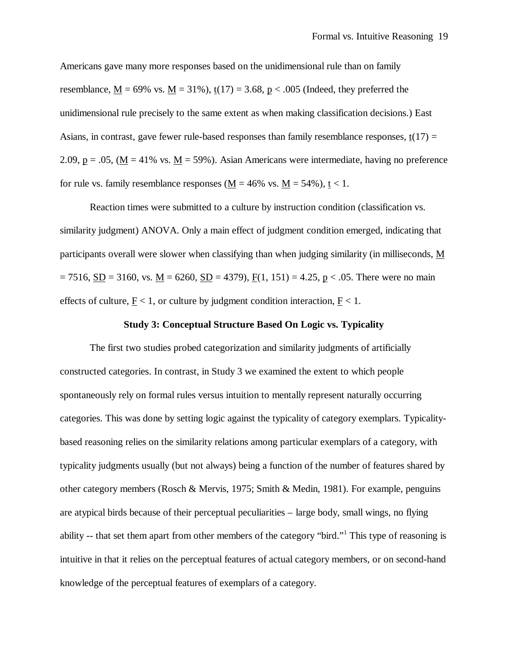Americans gave many more responses based on the unidimensional rule than on family resemblance,  $M = 69\%$  vs.  $M = 31\%$ ),  $t(17) = 3.68$ ,  $p < .005$  (Indeed, they preferred the unidimensional rule precisely to the same extent as when making classification decisions.) East Asians, in contrast, gave fewer rule-based responses than family resemblance responses,  $t(17)$  = 2.09,  $p = .05$ , ( $M = 41\%$  vs.  $M = 59\%$ ). Asian Americans were intermediate, having no preference for rule vs. family resemblance responses ( $M = 46\%$  vs.  $M = 54\%$ ),  $t < 1$ .

Reaction times were submitted to a culture by instruction condition (classification vs. similarity judgment) ANOVA. Only a main effect of judgment condition emerged, indicating that participants overall were slower when classifying than when judging similarity (in milliseconds, M  $= 7516, SD = 3160$ , vs.  $M = 6260, SD = 4379$ ),  $F(1, 151) = 4.25, p < .05$ . There were no main effects of culture,  $\underline{F}$  < 1, or culture by judgment condition interaction,  $F$  < 1.

# **Study 3: Conceptual Structure Based On Logic vs. Typicality**

The first two studies probed categorization and similarity judgments of artificially constructed categories. In contrast, in Study 3 we examined the extent to which people spontaneously rely on formal rules versus intuition to mentally represent naturally occurring categories. This was done by setting logic against the typicality of category exemplars. Typicalitybased reasoning relies on the similarity relations among particular exemplars of a category, with typicality judgments usually (but not always) being a function of the number of features shared by other category members (Rosch & Mervis, 1975; Smith & Medin, 1981). For example, penguins are atypical birds because of their perceptual peculiarities – large body, small wings, no flying ability -- that set them apart from other members of the category "bird."<sup>1</sup> This type of reasoning is intuitive in that it relies on the perceptual features of actual category members, or on second-hand knowledge of the perceptual features of exemplars of a category.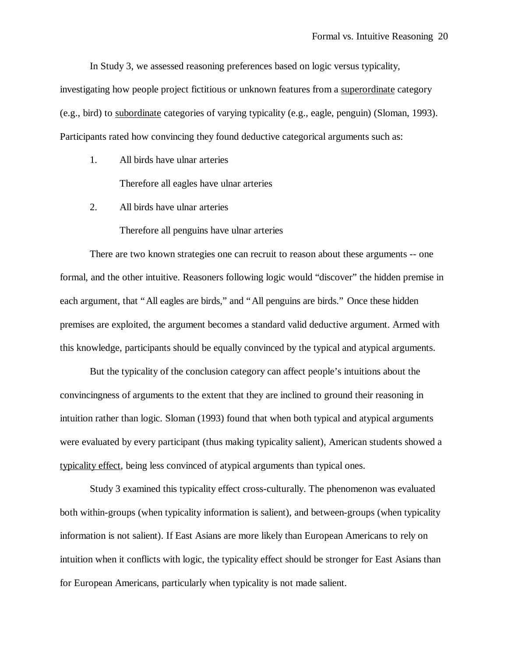In Study 3, we assessed reasoning preferences based on logic versus typicality,

investigating how people project fictitious or unknown features from a superordinate category (e.g., bird) to subordinate categories of varying typicality (e.g., eagle, penguin) (Sloman, 1993). Participants rated how convincing they found deductive categorical arguments such as:

1. All birds have ulnar arteries

Therefore all eagles have ulnar arteries

2. All birds have ulnar arteries

Therefore all penguins have ulnar arteries

There are two known strategies one can recruit to reason about these arguments -- one formal, and the other intuitive. Reasoners following logic would "discover" the hidden premise in each argument, that "All eagles are birds," and "All penguins are birds." Once these hidden premises are exploited, the argument becomes a standard valid deductive argument. Armed with this knowledge, participants should be equally convinced by the typical and atypical arguments.

But the typicality of the conclusion category can affect people's intuitions about the convincingness of arguments to the extent that they are inclined to ground their reasoning in intuition rather than logic. Sloman (1993) found that when both typical and atypical arguments were evaluated by every participant (thus making typicality salient), American students showed a typicality effect, being less convinced of atypical arguments than typical ones.

Study 3 examined this typicality effect cross-culturally. The phenomenon was evaluated both within-groups (when typicality information is salient), and between-groups (when typicality information is not salient). If East Asians are more likely than European Americans to rely on intuition when it conflicts with logic, the typicality effect should be stronger for East Asians than for European Americans, particularly when typicality is not made salient.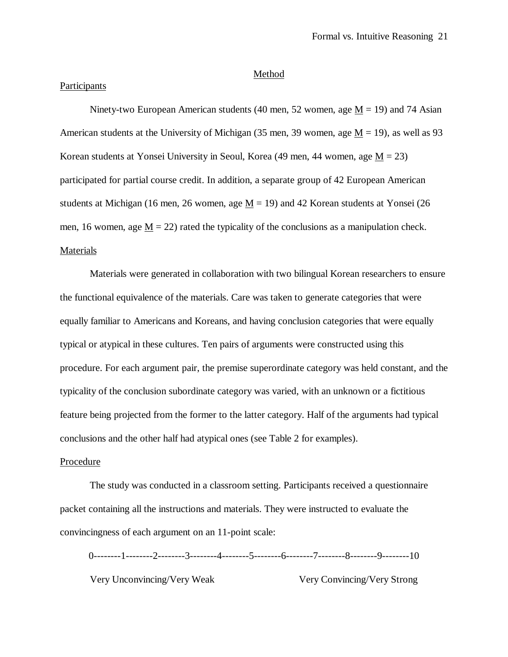#### Method

# Participants

Ninety-two European American students (40 men, 52 women, age  $M = 19$ ) and 74 Asian American students at the University of Michigan (35 men, 39 women, age  $M = 19$ ), as well as 93 Korean students at Yonsei University in Seoul, Korea (49 men, 44 women, age  $M = 23$ ) participated for partial course credit. In addition, a separate group of 42 European American students at Michigan (16 men, 26 women, age  $M = 19$ ) and 42 Korean students at Yonsei (26 men, 16 women, age  $M = 22$ ) rated the typicality of the conclusions as a manipulation check. **Materials** 

Materials were generated in collaboration with two bilingual Korean researchers to ensure the functional equivalence of the materials. Care was taken to generate categories that were equally familiar to Americans and Koreans, and having conclusion categories that were equally typical or atypical in these cultures. Ten pairs of arguments were constructed using this procedure. For each argument pair, the premise superordinate category was held constant, and the typicality of the conclusion subordinate category was varied, with an unknown or a fictitious feature being projected from the former to the latter category. Half of the arguments had typical conclusions and the other half had atypical ones (see Table 2 for examples).

# Procedure

The study was conducted in a classroom setting. Participants received a questionnaire packet containing all the instructions and materials. They were instructed to evaluate the convincingness of each argument on an 11-point scale:

0--------1--------2--------3--------4--------5--------6--------7--------8--------9--------10 Very Unconvincing/Very Weak Very Convincing/Very Strong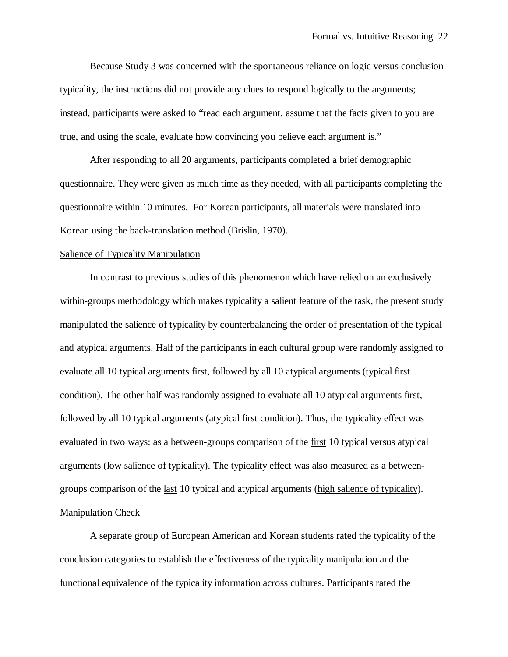Because Study 3 was concerned with the spontaneous reliance on logic versus conclusion typicality, the instructions did not provide any clues to respond logically to the arguments; instead, participants were asked to "read each argument, assume that the facts given to you are true, and using the scale, evaluate how convincing you believe each argument is."

After responding to all 20 arguments, participants completed a brief demographic questionnaire. They were given as much time as they needed, with all participants completing the questionnaire within 10 minutes. For Korean participants, all materials were translated into Korean using the back-translation method (Brislin, 1970).

#### Salience of Typicality Manipulation

In contrast to previous studies of this phenomenon which have relied on an exclusively within-groups methodology which makes typicality a salient feature of the task, the present study manipulated the salience of typicality by counterbalancing the order of presentation of the typical and atypical arguments. Half of the participants in each cultural group were randomly assigned to evaluate all 10 typical arguments first, followed by all 10 atypical arguments (typical first condition). The other half was randomly assigned to evaluate all 10 atypical arguments first, followed by all 10 typical arguments (atypical first condition). Thus, the typicality effect was evaluated in two ways: as a between-groups comparison of the first 10 typical versus atypical arguments (low salience of typicality). The typicality effect was also measured as a betweengroups comparison of the last 10 typical and atypical arguments (high salience of typicality). Manipulation Check

A separate group of European American and Korean students rated the typicality of the conclusion categories to establish the effectiveness of the typicality manipulation and the functional equivalence of the typicality information across cultures. Participants rated the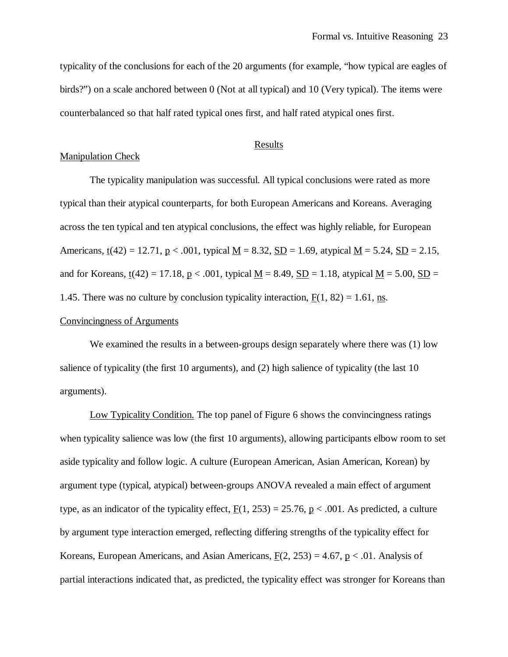typicality of the conclusions for each of the 20 arguments (for example, "how typical are eagles of birds?") on a scale anchored between 0 (Not at all typical) and 10 (Very typical). The items were counterbalanced so that half rated typical ones first, and half rated atypical ones first.

# **Results**

# Manipulation Check

The typicality manipulation was successful. All typical conclusions were rated as more typical than their atypical counterparts, for both European Americans and Koreans. Averaging across the ten typical and ten atypical conclusions, the effect was highly reliable, for European Americans,  $t(42) = 12.71$ ,  $p < .001$ , typical  $M = 8.32$ ,  $SD = 1.69$ , atypical  $M = 5.24$ ,  $SD = 2.15$ , and for Koreans,  $t(42) = 17.18$ ,  $p < .001$ , typical M = 8.49, SD = 1.18, atypical M = 5.00, SD = 1.45. There was no culture by conclusion typicality interaction,  $F(1, 82) = 1.61$ , ns.

# Convincingness of Arguments

We examined the results in a between-groups design separately where there was (1) low salience of typicality (the first 10 arguments), and (2) high salience of typicality (the last 10 arguments).

Low Typicality Condition. The top panel of Figure 6 shows the convincingness ratings when typicality salience was low (the first 10 arguments), allowing participants elbow room to set aside typicality and follow logic. A culture (European American, Asian American, Korean) by argument type (typical, atypical) between-groups ANOVA revealed a main effect of argument type, as an indicator of the typicality effect,  $F(1, 253) = 25.76$ ,  $p < .001$ . As predicted, a culture by argument type interaction emerged, reflecting differing strengths of the typicality effect for Koreans, European Americans, and Asian Americans,  $F(2, 253) = 4.67$ , p < .01. Analysis of partial interactions indicated that, as predicted, the typicality effect was stronger for Koreans than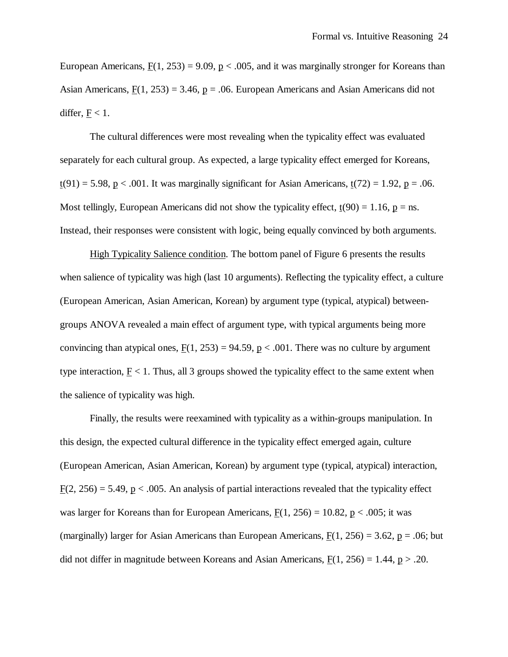European Americans,  $F(1, 253) = 9.09$ ,  $p < .005$ , and it was marginally stronger for Koreans than Asian Americans,  $F(1, 253) = 3.46$ ,  $p = .06$ . European Americans and Asian Americans did not differ,  $F < 1$ .

The cultural differences were most revealing when the typicality effect was evaluated separately for each cultural group. As expected, a large typicality effect emerged for Koreans,  $t(91) = 5.98$ , p < .001. It was marginally significant for Asian Americans,  $t(72) = 1.92$ , p = .06. Most tellingly, European Americans did not show the typicality effect,  $t(90) = 1.16$ ,  $p = ns$ . Instead, their responses were consistent with logic, being equally convinced by both arguments.

High Typicality Salience condition. The bottom panel of Figure 6 presents the results when salience of typicality was high (last 10 arguments). Reflecting the typicality effect, a culture (European American, Asian American, Korean) by argument type (typical, atypical) betweengroups ANOVA revealed a main effect of argument type, with typical arguments being more convincing than atypical ones,  $F(1, 253) = 94.59$ ,  $p < .001$ . There was no culture by argument type interaction,  $F < 1$ . Thus, all 3 groups showed the typicality effect to the same extent when the salience of typicality was high.

Finally, the results were reexamined with typicality as a within-groups manipulation. In this design, the expected cultural difference in the typicality effect emerged again, culture (European American, Asian American, Korean) by argument type (typical, atypical) interaction,  $F(2, 256) = 5.49$ , p < .005. An analysis of partial interactions revealed that the typicality effect was larger for Koreans than for European Americans,  $F(1, 256) = 10.82$ ,  $p < .005$ ; it was (marginally) larger for Asian Americans than European Americans,  $F(1, 256) = 3.62$ ,  $p = .06$ ; but did not differ in magnitude between Koreans and Asian Americans,  $F(1, 256) = 1.44$ ,  $p > .20$ .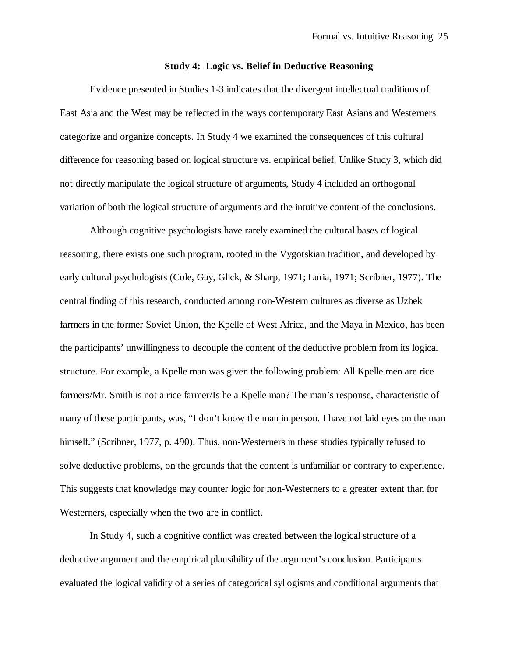### **Study 4: Logic vs. Belief in Deductive Reasoning**

Evidence presented in Studies 1-3 indicates that the divergent intellectual traditions of East Asia and the West may be reflected in the ways contemporary East Asians and Westerners categorize and organize concepts. In Study 4 we examined the consequences of this cultural difference for reasoning based on logical structure vs. empirical belief. Unlike Study 3, which did not directly manipulate the logical structure of arguments, Study 4 included an orthogonal variation of both the logical structure of arguments and the intuitive content of the conclusions.

Although cognitive psychologists have rarely examined the cultural bases of logical reasoning, there exists one such program, rooted in the Vygotskian tradition, and developed by early cultural psychologists (Cole, Gay, Glick, & Sharp, 1971; Luria, 1971; Scribner, 1977). The central finding of this research, conducted among non-Western cultures as diverse as Uzbek farmers in the former Soviet Union, the Kpelle of West Africa, and the Maya in Mexico, has been the participants' unwillingness to decouple the content of the deductive problem from its logical structure. For example, a Kpelle man was given the following problem: All Kpelle men are rice farmers/Mr. Smith is not a rice farmer/Is he a Kpelle man? The man's response, characteristic of many of these participants, was, "I don't know the man in person. I have not laid eyes on the man himself." (Scribner, 1977, p. 490). Thus, non-Westerners in these studies typically refused to solve deductive problems, on the grounds that the content is unfamiliar or contrary to experience. This suggests that knowledge may counter logic for non-Westerners to a greater extent than for Westerners, especially when the two are in conflict.

In Study 4, such a cognitive conflict was created between the logical structure of a deductive argument and the empirical plausibility of the argument's conclusion. Participants evaluated the logical validity of a series of categorical syllogisms and conditional arguments that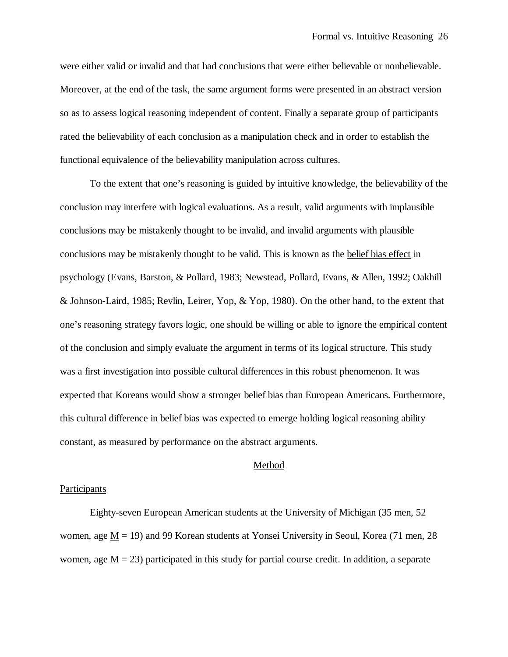were either valid or invalid and that had conclusions that were either believable or nonbelievable. Moreover, at the end of the task, the same argument forms were presented in an abstract version so as to assess logical reasoning independent of content. Finally a separate group of participants rated the believability of each conclusion as a manipulation check and in order to establish the functional equivalence of the believability manipulation across cultures.

To the extent that one's reasoning is guided by intuitive knowledge, the believability of the conclusion may interfere with logical evaluations. As a result, valid arguments with implausible conclusions may be mistakenly thought to be invalid, and invalid arguments with plausible conclusions may be mistakenly thought to be valid. This is known as the belief bias effect in psychology (Evans, Barston, & Pollard, 1983; Newstead, Pollard, Evans, & Allen, 1992; Oakhill & Johnson-Laird, 1985; Revlin, Leirer, Yop, & Yop, 1980). On the other hand, to the extent that one's reasoning strategy favors logic, one should be willing or able to ignore the empirical content of the conclusion and simply evaluate the argument in terms of its logical structure. This study was a first investigation into possible cultural differences in this robust phenomenon. It was expected that Koreans would show a stronger belief bias than European Americans. Furthermore, this cultural difference in belief bias was expected to emerge holding logical reasoning ability constant, as measured by performance on the abstract arguments.

# Method

# **Participants**

Eighty-seven European American students at the University of Michigan (35 men, 52 women, age  $M = 19$ ) and 99 Korean students at Yonsei University in Seoul, Korea (71 men, 28) women, age  $M = 23$ ) participated in this study for partial course credit. In addition, a separate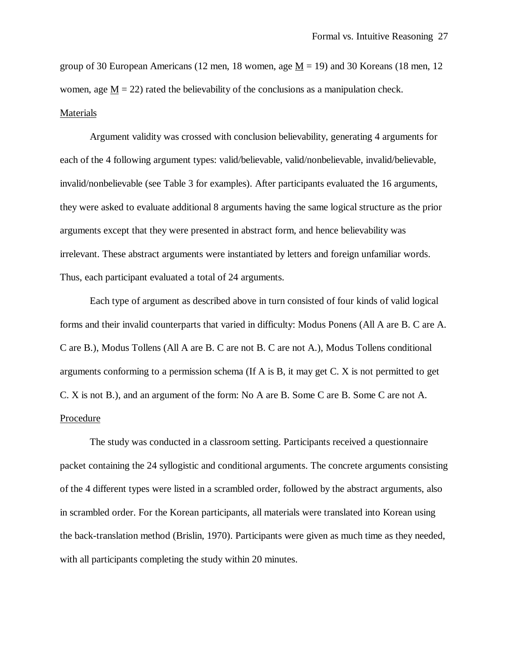group of 30 European Americans (12 men, 18 women, age  $M = 19$ ) and 30 Koreans (18 men, 12 women, age  $M = 22$ ) rated the believability of the conclusions as a manipulation check. Materials

Argument validity was crossed with conclusion believability, generating 4 arguments for each of the 4 following argument types: valid/believable, valid/nonbelievable, invalid/believable, invalid/nonbelievable (see Table 3 for examples). After participants evaluated the 16 arguments, they were asked to evaluate additional 8 arguments having the same logical structure as the prior arguments except that they were presented in abstract form, and hence believability was irrelevant. These abstract arguments were instantiated by letters and foreign unfamiliar words. Thus, each participant evaluated a total of 24 arguments.

Each type of argument as described above in turn consisted of four kinds of valid logical forms and their invalid counterparts that varied in difficulty: Modus Ponens (All A are B. C are A. C are B.), Modus Tollens (All A are B. C are not B. C are not A.), Modus Tollens conditional arguments conforming to a permission schema (If A is B, it may get C. X is not permitted to get C. X is not B.), and an argument of the form: No A are B. Some C are B. Some C are not A. Procedure

The study was conducted in a classroom setting. Participants received a questionnaire packet containing the 24 syllogistic and conditional arguments. The concrete arguments consisting of the 4 different types were listed in a scrambled order, followed by the abstract arguments, also in scrambled order. For the Korean participants, all materials were translated into Korean using the back-translation method (Brislin, 1970). Participants were given as much time as they needed, with all participants completing the study within 20 minutes.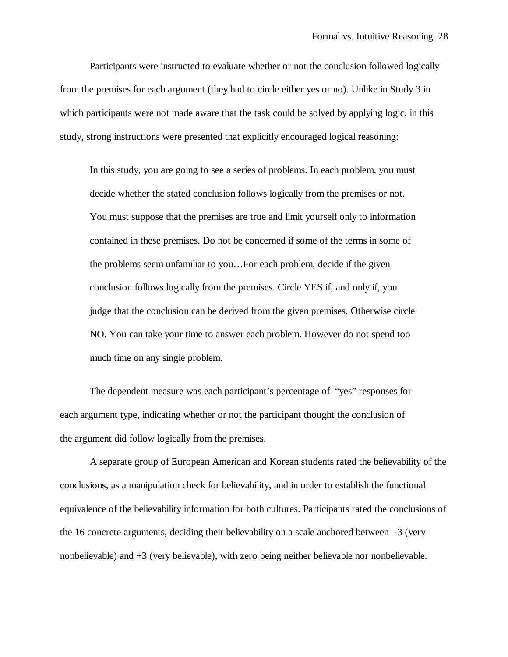Participants were instructed to evaluate whether or not the conclusion followed logically from the premises for each argument (they had to circle either yes or no). Unlike in Study 3 in which participants were not made aware that the task could be solved by applying logic, in this study, strong instructions were presented that explicitly encouraged logical reasoning:

In this study, you are going to see a series of problems. In each problem, you must decide whether the stated conclusion follows logically from the premises or not. You must suppose that the premises are true and limit yourself only to information contained in these premises. Do not be concerned if some of the terms in some of the problems seem unfamiliar to you… For each problem, decide if the given conclusion follows logically from the premises. Circle YES if, and only if, you judge that the conclusion can be derived from the given premises. Otherwise circle NO. You can take your time to answer each problem. However do not spend too much time on any single problem.

The dependent measure was each participant's percentage of "yes" responses for each argument type, indicating whether or not the participant thought the conclusion of the argument did follow logically from the premises.

A separate group of European American and Korean students rated the believability of the conclusions, as a manipulation check for believability, and in order to establish the functional equivalence of the believability information for both cultures. Participants rated the conclusions of the 16 concrete arguments, deciding their believability on a scale anchored between -3 (very nonbelievable) and +3 (very believable), with zero being neither believable nor nonbelievable.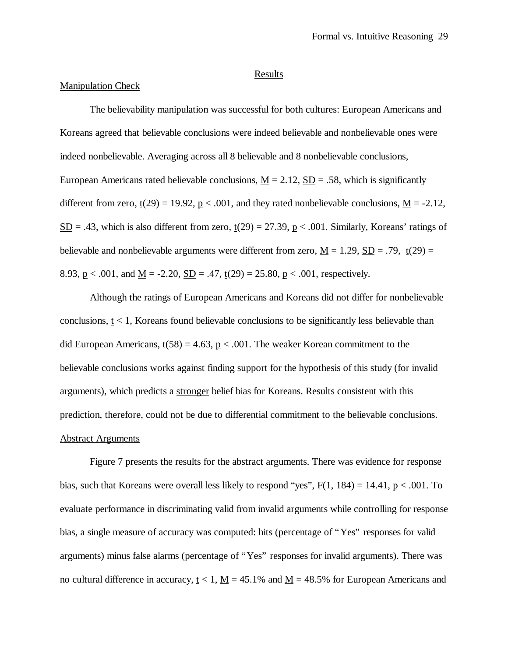#### Results

#### Manipulation Check

The believability manipulation was successful for both cultures: European Americans and Koreans agreed that believable conclusions were indeed believable and nonbelievable ones were indeed nonbelievable. Averaging across all 8 believable and 8 nonbelievable conclusions, European Americans rated believable conclusions,  $M = 2.12$ ,  $SD = .58$ , which is significantly different from zero,  $\underline{t}(29) = 19.92$ ,  $\underline{p} < .001$ , and they rated nonbelievable conclusions,  $\underline{M} = -2.12$ ,  $S<sub>D</sub> = .43$ , which is also different from zero,  $t(29) = 27.39$ ,  $p < .001$ . Similarly, Koreans' ratings of believable and nonbelievable arguments were different from zero,  $\underline{M} = 1.29$ ,  $\underline{SD} = .79$ ,  $\underline{t}(29) =$ 8.93,  $p < .001$ , and  $M = -2.20$ ,  $SD = .47$ ,  $t(29) = 25.80$ ,  $p < .001$ , respectively.

Although the ratings of European Americans and Koreans did not differ for nonbelievable conclusions,  $t < 1$ , Koreans found believable conclusions to be significantly less believable than did European Americans,  $t(58) = 4.63$ ,  $p < .001$ . The weaker Korean commitment to the believable conclusions works against finding support for the hypothesis of this study (for invalid arguments), which predicts a stronger belief bias for Koreans. Results consistent with this prediction, therefore, could not be due to differential commitment to the believable conclusions. Abstract Arguments

Figure 7 presents the results for the abstract arguments. There was evidence for response bias, such that Koreans were overall less likely to respond "yes",  $F(1, 184) = 14.41$ ,  $p < .001$ . To evaluate performance in discriminating valid from invalid arguments while controlling for response bias, a single measure of accuracy was computed: hits (percentage of "Yes" responses for valid arguments) minus false alarms (percentage of "Yes" responses for invalid arguments). There was no cultural difference in accuracy,  $t < 1$ ,  $M = 45.1\%$  and  $M = 48.5\%$  for European Americans and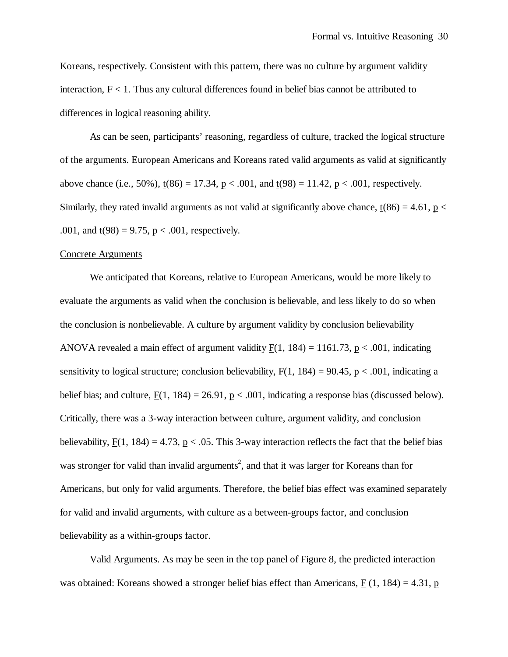Koreans, respectively. Consistent with this pattern, there was no culture by argument validity interaction,  $F < 1$ . Thus any cultural differences found in belief bias cannot be attributed to differences in logical reasoning ability.

As can be seen, participants' reasoning, regardless of culture, tracked the logical structure of the arguments. European Americans and Koreans rated valid arguments as valid at significantly above chance (i.e., 50%),  $t(86) = 17.34$ ,  $p < .001$ , and  $t(98) = 11.42$ ,  $p < .001$ , respectively. Similarly, they rated invalid arguments as not valid at significantly above chance,  $t(86) = 4.61$ ,  $p <$ .001, and  $\underline{t}(98) = 9.75$ ,  $\underline{p} < .001$ , respectively.

#### Concrete Arguments

We anticipated that Koreans, relative to European Americans, would be more likely to evaluate the arguments as valid when the conclusion is believable, and less likely to do so when the conclusion is nonbelievable. A culture by argument validity by conclusion believability ANOVA revealed a main effect of argument validity  $F(1, 184) = 1161.73$ , p < .001, indicating sensitivity to logical structure; conclusion believability,  $F(1, 184) = 90.45$ ,  $p < .001$ , indicating a belief bias; and culture,  $\underline{F}(1, 184) = 26.91$ ,  $\underline{p} < .001$ , indicating a response bias (discussed below). Critically, there was a 3-way interaction between culture, argument validity, and conclusion believability,  $F(1, 184) = 4.73$ ,  $p < .05$ . This 3-way interaction reflects the fact that the belief bias was stronger for valid than invalid arguments<sup>2</sup>, and that it was larger for Koreans than for Americans, but only for valid arguments. Therefore, the belief bias effect was examined separately for valid and invalid arguments, with culture as a between-groups factor, and conclusion believability as a within-groups factor.

Valid Arguments. As may be seen in the top panel of Figure 8, the predicted interaction was obtained: Koreans showed a stronger belief bias effect than Americans,  $F(1, 184) = 4.31$ , p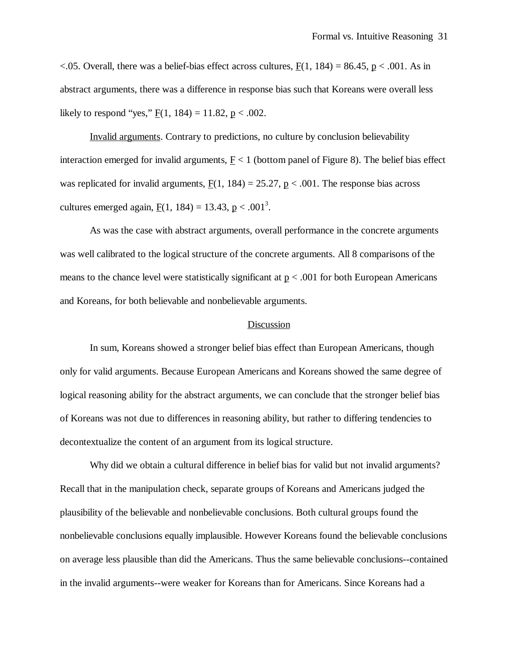$\langle .05.$  Overall, there was a belief-bias effect across cultures, F(1, 184) = 86.45, p  $\langle .001.$  As in abstract arguments, there was a difference in response bias such that Koreans were overall less likely to respond "yes,"  $F(1, 184) = 11.82$ ,  $p < .002$ .

Invalid arguments. Contrary to predictions, no culture by conclusion believability interaction emerged for invalid arguments,  $F < 1$  (bottom panel of Figure 8). The belief bias effect was replicated for invalid arguments,  $F(1, 184) = 25.27$ ,  $p < .001$ . The response bias across cultures emerged again,  $\underline{F}(1, 184) = 13.43$ ,  $\underline{p} < .001^3$ .

As was the case with abstract arguments, overall performance in the concrete arguments was well calibrated to the logical structure of the concrete arguments. All 8 comparisons of the means to the chance level were statistically significant at  $p < .001$  for both European Americans and Koreans, for both believable and nonbelievable arguments.

# Discussion

In sum, Koreans showed a stronger belief bias effect than European Americans, though only for valid arguments. Because European Americans and Koreans showed the same degree of logical reasoning ability for the abstract arguments, we can conclude that the stronger belief bias of Koreans was not due to differences in reasoning ability, but rather to differing tendencies to decontextualize the content of an argument from its logical structure.

Why did we obtain a cultural difference in belief bias for valid but not invalid arguments? Recall that in the manipulation check, separate groups of Koreans and Americans judged the plausibility of the believable and nonbelievable conclusions. Both cultural groups found the nonbelievable conclusions equally implausible. However Koreans found the believable conclusions on average less plausible than did the Americans. Thus the same believable conclusions--contained in the invalid arguments--were weaker for Koreans than for Americans. Since Koreans had a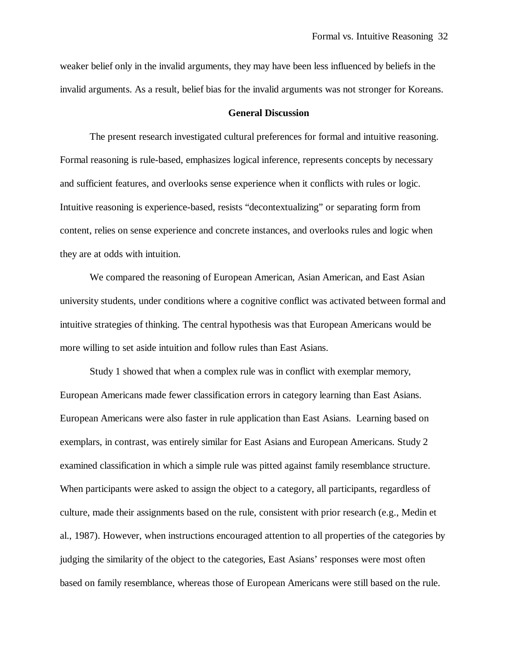weaker belief only in the invalid arguments, they may have been less influenced by beliefs in the invalid arguments. As a result, belief bias for the invalid arguments was not stronger for Koreans.

#### **General Discussion**

The present research investigated cultural preferences for formal and intuitive reasoning. Formal reasoning is rule-based, emphasizes logical inference, represents concepts by necessary and sufficient features, and overlooks sense experience when it conflicts with rules or logic. Intuitive reasoning is experience-based, resists "decontextualizing" or separating form from content, relies on sense experience and concrete instances, and overlooks rules and logic when they are at odds with intuition.

We compared the reasoning of European American, Asian American, and East Asian university students, under conditions where a cognitive conflict was activated between formal and intuitive strategies of thinking. The central hypothesis was that European Americans would be more willing to set aside intuition and follow rules than East Asians.

Study 1 showed that when a complex rule was in conflict with exemplar memory, European Americans made fewer classification errors in category learning than East Asians. European Americans were also faster in rule application than East Asians. Learning based on exemplars, in contrast, was entirely similar for East Asians and European Americans. Study 2 examined classification in which a simple rule was pitted against family resemblance structure. When participants were asked to assign the object to a category, all participants, regardless of culture, made their assignments based on the rule, consistent with prior research (e.g., Medin et al., 1987). However, when instructions encouraged attention to all properties of the categories by judging the similarity of the object to the categories, East Asians' responses were most often based on family resemblance, whereas those of European Americans were still based on the rule.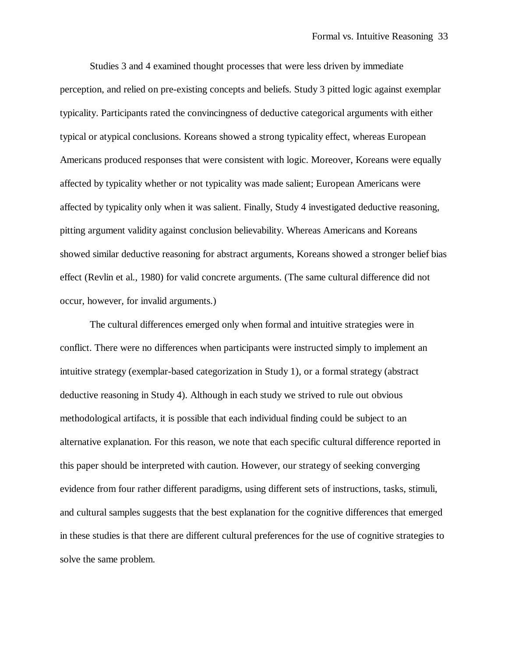Studies 3 and 4 examined thought processes that were less driven by immediate perception, and relied on pre-existing concepts and beliefs. Study 3 pitted logic against exemplar typicality. Participants rated the convincingness of deductive categorical arguments with either typical or atypical conclusions. Koreans showed a strong typicality effect, whereas European Americans produced responses that were consistent with logic. Moreover, Koreans were equally affected by typicality whether or not typicality was made salient; European Americans were affected by typicality only when it was salient. Finally, Study 4 investigated deductive reasoning, pitting argument validity against conclusion believability. Whereas Americans and Koreans showed similar deductive reasoning for abstract arguments, Koreans showed a stronger belief bias effect (Revlin et al., 1980) for valid concrete arguments. (The same cultural difference did not occur, however, for invalid arguments.)

The cultural differences emerged only when formal and intuitive strategies were in conflict. There were no differences when participants were instructed simply to implement an intuitive strategy (exemplar-based categorization in Study 1), or a formal strategy (abstract deductive reasoning in Study 4). Although in each study we strived to rule out obvious methodological artifacts, it is possible that each individual finding could be subject to an alternative explanation. For this reason, we note that each specific cultural difference reported in this paper should be interpreted with caution. However, our strategy of seeking converging evidence from four rather different paradigms, using different sets of instructions, tasks, stimuli, and cultural samples suggests that the best explanation for the cognitive differences that emerged in these studies is that there are different cultural preferences for the use of cognitive strategies to solve the same problem.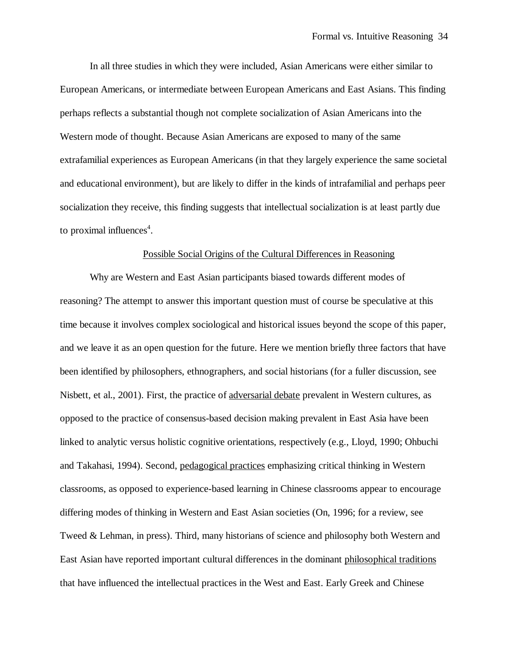In all three studies in which they were included, Asian Americans were either similar to European Americans, or intermediate between European Americans and East Asians. This finding perhaps reflects a substantial though not complete socialization of Asian Americans into the Western mode of thought. Because Asian Americans are exposed to many of the same extrafamilial experiences as European Americans (in that they largely experience the same societal and educational environment), but are likely to differ in the kinds of intrafamilial and perhaps peer socialization they receive, this finding suggests that intellectual socialization is at least partly due to proximal influences<sup>4</sup>.

### Possible Social Origins of the Cultural Differences in Reasoning

Why are Western and East Asian participants biased towards different modes of reasoning? The attempt to answer this important question must of course be speculative at this time because it involves complex sociological and historical issues beyond the scope of this paper, and we leave it as an open question for the future. Here we mention briefly three factors that have been identified by philosophers, ethnographers, and social historians (for a fuller discussion, see Nisbett, et al., 2001). First, the practice of adversarial debate prevalent in Western cultures, as opposed to the practice of consensus-based decision making prevalent in East Asia have been linked to analytic versus holistic cognitive orientations, respectively (e.g., Lloyd, 1990; Ohbuchi and Takahasi, 1994). Second, pedagogical practices emphasizing critical thinking in Western classrooms, as opposed to experience-based learning in Chinese classrooms appear to encourage differing modes of thinking in Western and East Asian societies (On, 1996; for a review, see Tweed & Lehman, in press). Third, many historians of science and philosophy both Western and East Asian have reported important cultural differences in the dominant philosophical traditions that have influenced the intellectual practices in the West and East. Early Greek and Chinese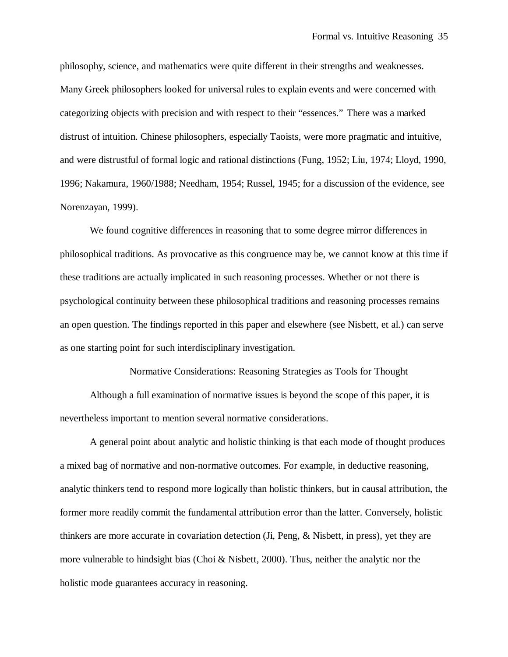philosophy, science, and mathematics were quite different in their strengths and weaknesses. Many Greek philosophers looked for universal rules to explain events and were concerned with categorizing objects with precision and with respect to their "essences." There was a marked distrust of intuition. Chinese philosophers, especially Taoists, were more pragmatic and intuitive, and were distrustful of formal logic and rational distinctions (Fung, 1952; Liu, 1974; Lloyd, 1990, 1996; Nakamura, 1960/1988; Needham, 1954; Russel, 1945; for a discussion of the evidence, see Norenzayan, 1999).

We found cognitive differences in reasoning that to some degree mirror differences in philosophical traditions. As provocative as this congruence may be, we cannot know at this time if these traditions are actually implicated in such reasoning processes. Whether or not there is psychological continuity between these philosophical traditions and reasoning processes remains an open question. The findings reported in this paper and elsewhere (see Nisbett, et al.) can serve as one starting point for such interdisciplinary investigation.

#### Normative Considerations: Reasoning Strategies as Tools for Thought

Although a full examination of normative issues is beyond the scope of this paper, it is nevertheless important to mention several normative considerations.

A general point about analytic and holistic thinking is that each mode of thought produces a mixed bag of normative and non-normative outcomes. For example, in deductive reasoning, analytic thinkers tend to respond more logically than holistic thinkers, but in causal attribution, the former more readily commit the fundamental attribution error than the latter. Conversely, holistic thinkers are more accurate in covariation detection (Ji, Peng, & Nisbett, in press), yet they are more vulnerable to hindsight bias (Choi & Nisbett, 2000). Thus, neither the analytic nor the holistic mode guarantees accuracy in reasoning.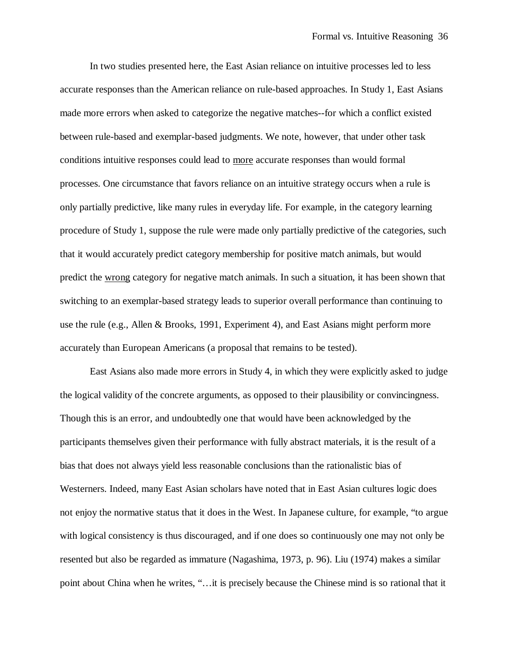In two studies presented here, the East Asian reliance on intuitive processes led to less accurate responses than the American reliance on rule-based approaches. In Study 1, East Asians made more errors when asked to categorize the negative matches--for which a conflict existed between rule-based and exemplar-based judgments. We note, however, that under other task conditions intuitive responses could lead to more accurate responses than would formal processes. One circumstance that favors reliance on an intuitive strategy occurs when a rule is only partially predictive, like many rules in everyday life. For example, in the category learning procedure of Study 1, suppose the rule were made only partially predictive of the categories, such that it would accurately predict category membership for positive match animals, but would predict the wrong category for negative match animals. In such a situation, it has been shown that switching to an exemplar-based strategy leads to superior overall performance than continuing to use the rule (e.g., Allen & Brooks, 1991, Experiment 4), and East Asians might perform more accurately than European Americans (a proposal that remains to be tested).

East Asians also made more errors in Study 4, in which they were explicitly asked to judge the logical validity of the concrete arguments, as opposed to their plausibility or convincingness. Though this is an error, and undoubtedly one that would have been acknowledged by the participants themselves given their performance with fully abstract materials, it is the result of a bias that does not always yield less reasonable conclusions than the rationalistic bias of Westerners. Indeed, many East Asian scholars have noted that in East Asian cultures logic does not enjoy the normative status that it does in the West. In Japanese culture, for example, "to argue with logical consistency is thus discouraged, and if one does so continuously one may not only be resented but also be regarded as immature (Nagashima, 1973, p. 96). Liu (1974) makes a similar point about China when he writes, "… it is precisely because the Chinese mind is so rational that it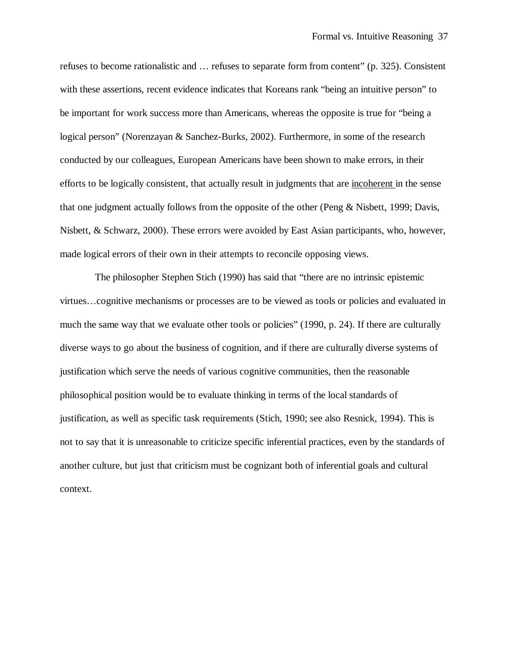refuses to become rationalistic and … refuses to separate form from content" (p. 325). Consistent with these assertions, recent evidence indicates that Koreans rank "being an intuitive person" to be important for work success more than Americans, whereas the opposite is true for "being a logical person" (Norenzayan & Sanchez-Burks, 2002). Furthermore, in some of the research conducted by our colleagues, European Americans have been shown to make errors, in their efforts to be logically consistent, that actually result in judgments that are incoherent in the sense that one judgment actually follows from the opposite of the other (Peng & Nisbett, 1999; Davis, Nisbett, & Schwarz, 2000). These errors were avoided by East Asian participants, who, however, made logical errors of their own in their attempts to reconcile opposing views.

 The philosopher Stephen Stich (1990) has said that "there are no intrinsic epistemic virtues… cognitive mechanisms or processes are to be viewed as tools or policies and evaluated in much the same way that we evaluate other tools or policies" (1990, p. 24). If there are culturally diverse ways to go about the business of cognition, and if there are culturally diverse systems of justification which serve the needs of various cognitive communities, then the reasonable philosophical position would be to evaluate thinking in terms of the local standards of justification, as well as specific task requirements (Stich, 1990; see also Resnick, 1994). This is not to say that it is unreasonable to criticize specific inferential practices, even by the standards of another culture, but just that criticism must be cognizant both of inferential goals and cultural context.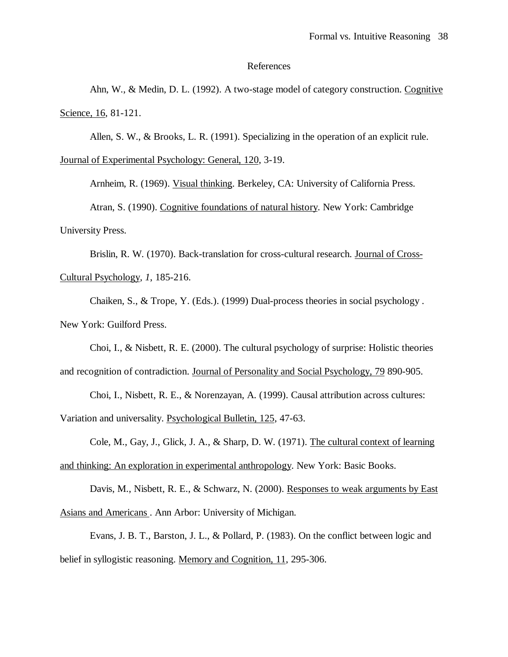#### References

Ahn, W., & Medin, D. L. (1992). A two-stage model of category construction. Cognitive Science, 16, 81-121.

Allen, S. W., & Brooks, L. R. (1991). Specializing in the operation of an explicit rule.

Journal of Experimental Psychology: General, 120, 3-19.

Arnheim, R. (1969). Visual thinking. Berkeley, CA: University of California Press.

Atran, S. (1990). Cognitive foundations of natural history. New York: Cambridge University Press.

Brislin, R. W. (1970). Back-translation for cross-cultural research. Journal of Cross-Cultural Psychology*, 1*, 185-216.

Chaiken, S., & Trope, Y. (Eds.). (1999) Dual-process theories in social psychology . New York: Guilford Press.

Choi, I., & Nisbett, R. E. (2000). The cultural psychology of surprise: Holistic theories

and recognition of contradiction. Journal of Personality and Social Psychology, 79 890-905.

Choi, I., Nisbett, R. E., & Norenzayan, A. (1999). Causal attribution across cultures:

Variation and universality. Psychological Bulletin, 125, 47-63.

Cole, M., Gay, J., Glick, J. A., & Sharp, D. W. (1971). The cultural context of learning

and thinking: An exploration in experimental anthropology. New York: Basic Books.

Davis, M., Nisbett, R. E., & Schwarz, N. (2000). Responses to weak arguments by East Asians and Americans . Ann Arbor: University of Michigan.

Evans, J. B. T., Barston, J. L., & Pollard, P. (1983). On the conflict between logic and belief in syllogistic reasoning. Memory and Cognition, 11, 295-306.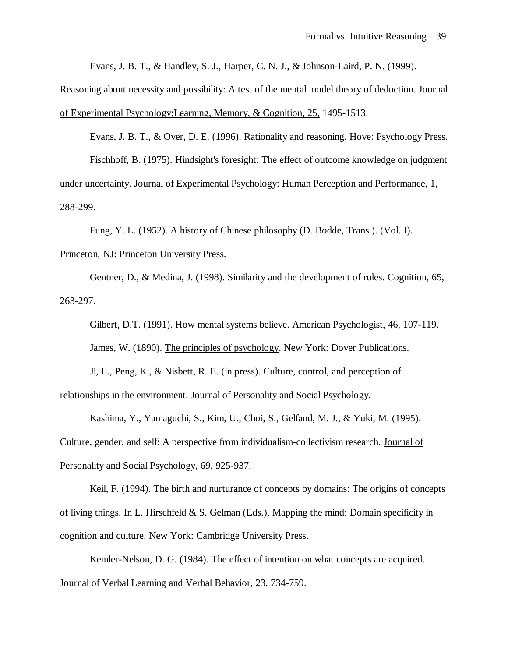Evans, J. B. T., & Handley, S. J., Harper, C. N. J., & Johnson-Laird, P. N. (1999).

Reasoning about necessity and possibility: A test of the mental model theory of deduction. Journal of Experimental Psychology:Learning, Memory, & Cognition, 25, 1495-1513.

Evans, J. B. T., & Over, D. E. (1996). Rationality and reasoning. Hove: Psychology Press. Fischhoff, B. (1975). Hindsight's foresight: The effect of outcome knowledge on judgment under uncertainty. Journal of Experimental Psychology: Human Perception and Performance, 1, 288-299.

Fung, Y. L. (1952). A history of Chinese philosophy (D. Bodde, Trans.). (Vol. I). Princeton, NJ: Princeton University Press.

Gentner, D., & Medina, J. (1998). Similarity and the development of rules. Cognition, 65, 263-297.

Gilbert, D.T. (1991). How mental systems believe. American Psychologist, 46, 107-119. James, W. (1890). The principles of psychology. New York: Dover Publications.

Ji, L., Peng, K., & Nisbett, R. E. (in press). Culture, control, and perception of relationships in the environment. Journal of Personality and Social Psychology.

Kashima, Y., Yamaguchi, S., Kim, U., Choi, S., Gelfand, M. J., & Yuki, M. (1995). Culture, gender, and self: A perspective from individualism-collectivism research. Journal of Personality and Social Psychology, 69, 925-937.

Keil, F. (1994). The birth and nurturance of concepts by domains: The origins of concepts of living things. In L. Hirschfeld & S. Gelman (Eds.), Mapping the mind: Domain specificity in cognition and culture. New York: Cambridge University Press.

Kemler-Nelson, D. G. (1984). The effect of intention on what concepts are acquired. Journal of Verbal Learning and Verbal Behavior, 23, 734-759.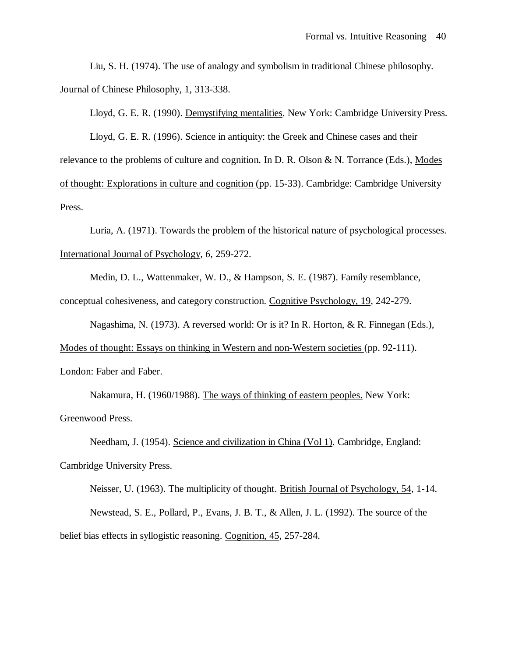Liu, S. H. (1974). The use of analogy and symbolism in traditional Chinese philosophy. Journal of Chinese Philosophy, 1, 313-338.

Lloyd, G. E. R. (1990). Demystifying mentalities. New York: Cambridge University Press.

Lloyd, G. E. R. (1996). Science in antiquity: the Greek and Chinese cases and their relevance to the problems of culture and cognition. In D. R. Olson & N. Torrance (Eds.), Modes of thought: Explorations in culture and cognition (pp. 15-33). Cambridge: Cambridge University Press.

Luria, A. (1971). Towards the problem of the historical nature of psychological processes. International Journal of Psychology*, 6*, 259-272.

Medin, D. L., Wattenmaker, W. D., & Hampson, S. E. (1987). Family resemblance, conceptual cohesiveness, and category construction. Cognitive Psychology, 19, 242-279.

Nagashima, N. (1973). A reversed world: Or is it? In R. Horton, & R. Finnegan (Eds.),

Modes of thought: Essays on thinking in Western and non-Western societies (pp. 92-111).

London: Faber and Faber.

Nakamura, H. (1960/1988). The ways of thinking of eastern peoples. New York: Greenwood Press.

Needham, J. (1954). Science and civilization in China (Vol 1). Cambridge, England: Cambridge University Press.

Neisser, U. (1963). The multiplicity of thought. British Journal of Psychology, 54, 1-14. Newstead, S. E., Pollard, P., Evans, J. B. T., & Allen, J. L. (1992). The source of the belief bias effects in syllogistic reasoning. Cognition, 45, 257-284.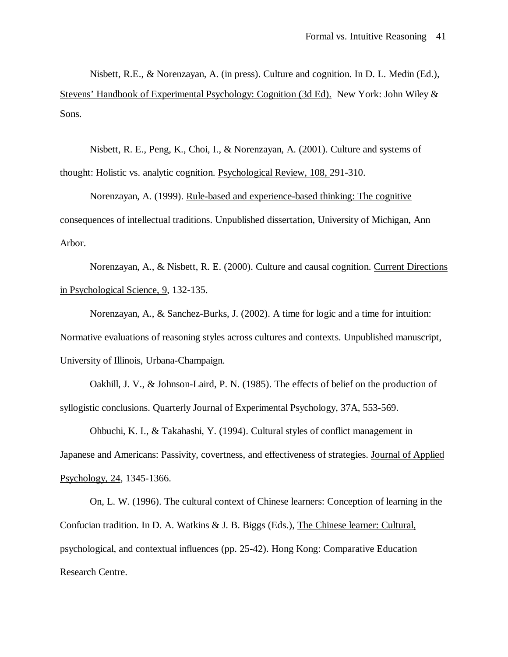Nisbett, R.E., & Norenzayan, A. (in press). Culture and cognition. In D. L. Medin (Ed.), Stevens' Handbook of Experimental Psychology: Cognition (3d Ed). New York: John Wiley & Sons.

Nisbett, R. E., Peng, K., Choi, I., & Norenzayan, A. (2001). Culture and systems of thought: Holistic vs. analytic cognition. Psychological Review, 108, 291-310.

Norenzayan, A. (1999). Rule-based and experience-based thinking: The cognitive consequences of intellectual traditions. Unpublished dissertation, University of Michigan, Ann Arbor.

Norenzayan, A., & Nisbett, R. E. (2000). Culture and causal cognition. Current Directions in Psychological Science, 9, 132-135.

Norenzayan, A., & Sanchez-Burks, J. (2002). A time for logic and a time for intuition: Normative evaluations of reasoning styles across cultures and contexts. Unpublished manuscript, University of Illinois, Urbana-Champaign.

Oakhill, J. V., & Johnson-Laird, P. N. (1985). The effects of belief on the production of syllogistic conclusions. Quarterly Journal of Experimental Psychology, 37A, 553-569.

Ohbuchi, K. I., & Takahashi, Y. (1994). Cultural styles of conflict management in Japanese and Americans: Passivity, covertness, and effectiveness of strategies. Journal of Applied Psychology, 24, 1345-1366.

On, L. W. (1996). The cultural context of Chinese learners: Conception of learning in the Confucian tradition. In D. A. Watkins & J. B. Biggs (Eds.), The Chinese learner: Cultural, psychological, and contextual influences (pp. 25-42). Hong Kong: Comparative Education Research Centre.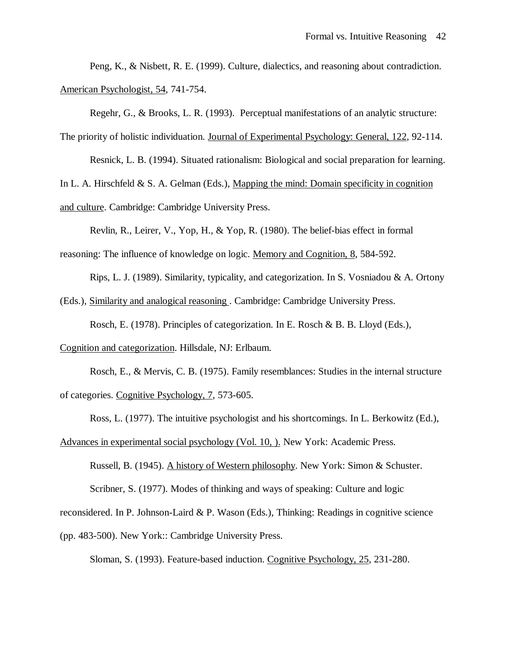Peng, K., & Nisbett, R. E. (1999). Culture, dialectics, and reasoning about contradiction. American Psychologist, 54, 741-754.

Regehr, G., & Brooks, L. R. (1993). Perceptual manifestations of an analytic structure:

The priority of holistic individuation. Journal of Experimental Psychology: General, 122, 92-114.

Resnick, L. B. (1994). Situated rationalism: Biological and social preparation for learning.

In L. A. Hirschfeld  $& S. A. Gelman (Eds.), Mapping the mind: Domain specificity in cognition$ 

and culture. Cambridge: Cambridge University Press.

Revlin, R., Leirer, V., Yop, H., & Yop, R. (1980). The belief-bias effect in formal

reasoning: The influence of knowledge on logic. Memory and Cognition, 8, 584-592.

Rips, L. J. (1989). Similarity, typicality, and categorization. In S. Vosniadou & A. Ortony

(Eds.), Similarity and analogical reasoning . Cambridge: Cambridge University Press.

Rosch, E. (1978). Principles of categorization. In E. Rosch & B. B. Lloyd (Eds.),

Cognition and categorization. Hillsdale, NJ: Erlbaum.

Rosch, E., & Mervis, C. B. (1975). Family resemblances: Studies in the internal structure of categories. Cognitive Psychology, 7, 573-605.

Ross, L. (1977). The intuitive psychologist and his shortcomings. In L. Berkowitz (Ed.),

Advances in experimental social psychology (Vol. 10, ). New York: Academic Press.

Russell, B. (1945). A history of Western philosophy. New York: Simon & Schuster.

Scribner, S. (1977). Modes of thinking and ways of speaking: Culture and logic

reconsidered. In P. Johnson-Laird & P. Wason (Eds.), Thinking: Readings in cognitive science

(pp. 483-500). New York:: Cambridge University Press.

Sloman, S. (1993). Feature-based induction. Cognitive Psychology, 25, 231-280.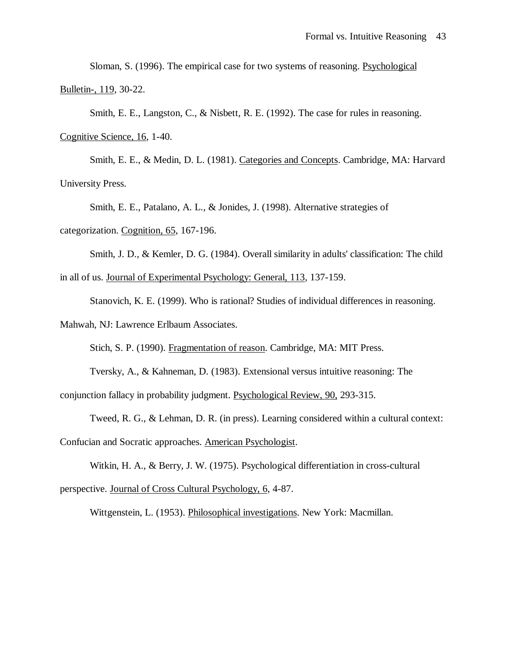Sloman, S. (1996). The empirical case for two systems of reasoning. Psychological Bulletin-, 119, 30-22.

Smith, E. E., Langston, C., & Nisbett, R. E. (1992). The case for rules in reasoning.

Cognitive Science, 16, 1-40.

Smith, E. E., & Medin, D. L. (1981). Categories and Concepts. Cambridge, MA: Harvard University Press.

Smith, E. E., Patalano, A. L., & Jonides, J. (1998). Alternative strategies of

categorization. Cognition, 65, 167-196.

Smith, J. D., & Kemler, D. G. (1984). Overall similarity in adults' classification: The child in all of us. Journal of Experimental Psychology: General, 113, 137-159.

Stanovich, K. E. (1999). Who is rational? Studies of individual differences in reasoning.

Mahwah, NJ: Lawrence Erlbaum Associates.

Stich, S. P. (1990). Fragmentation of reason. Cambridge, MA: MIT Press.

Tversky, A., & Kahneman, D. (1983). Extensional versus intuitive reasoning: The conjunction fallacy in probability judgment. Psychological Review, 90, 293-315.

Tweed, R. G., & Lehman, D. R. (in press). Learning considered within a cultural context: Confucian and Socratic approaches. American Psychologist.

Witkin, H. A., & Berry, J. W. (1975). Psychological differentiation in cross-cultural perspective. Journal of Cross Cultural Psychology, 6, 4-87.

Wittgenstein, L. (1953). Philosophical investigations. New York: Macmillan.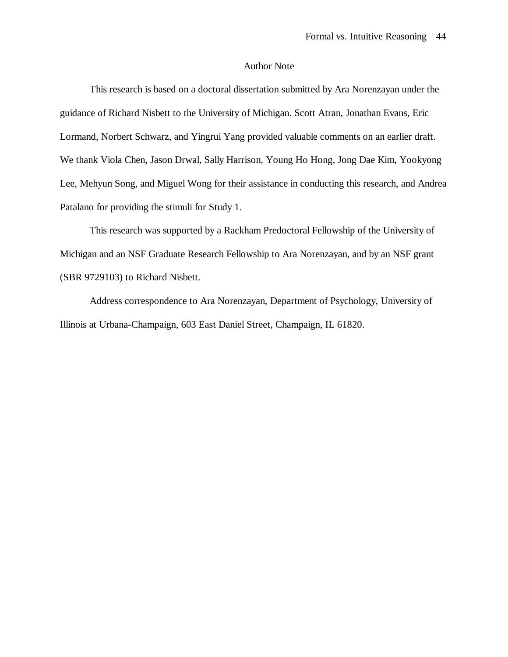## Author Note

This research is based on a doctoral dissertation submitted by Ara Norenzayan under the guidance of Richard Nisbett to the University of Michigan. Scott Atran, Jonathan Evans, Eric Lormand, Norbert Schwarz, and Yingrui Yang provided valuable comments on an earlier draft. We thank Viola Chen, Jason Drwal, Sally Harrison, Young Ho Hong, Jong Dae Kim, Yookyong Lee, Mehyun Song, and Miguel Wong for their assistance in conducting this research, and Andrea Patalano for providing the stimuli for Study 1.

This research was supported by a Rackham Predoctoral Fellowship of the University of Michigan and an NSF Graduate Research Fellowship to Ara Norenzayan, and by an NSF grant (SBR 9729103) to Richard Nisbett.

Address correspondence to Ara Norenzayan, Department of Psychology, University of Illinois at Urbana-Champaign, 603 East Daniel Street, Champaign, IL 61820.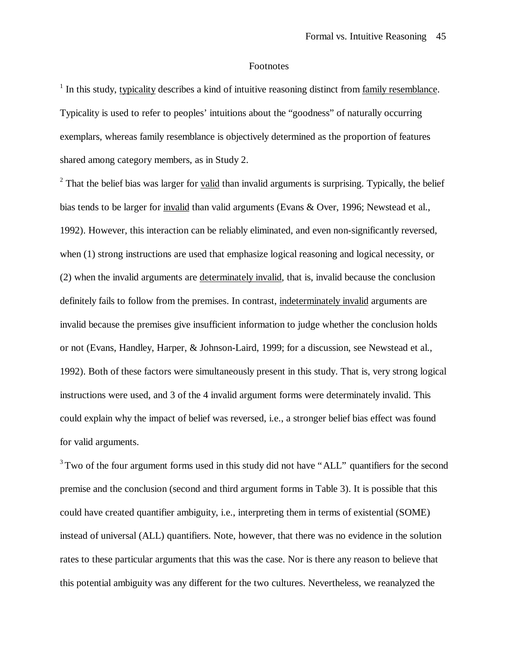# **Footnotes**

<sup>1</sup> In this study, typicality describes a kind of intuitive reasoning distinct from family resemblance. Typicality is used to refer to peoples' intuitions about the "goodness" of naturally occurring exemplars, whereas family resemblance is objectively determined as the proportion of features shared among category members, as in Study 2.

 $2$  That the belief bias was larger for valid than invalid arguments is surprising. Typically, the belief bias tends to be larger for invalid than valid arguments (Evans & Over, 1996; Newstead et al., 1992). However, this interaction can be reliably eliminated, and even non-significantly reversed, when (1) strong instructions are used that emphasize logical reasoning and logical necessity, or (2) when the invalid arguments are determinately invalid, that is, invalid because the conclusion definitely fails to follow from the premises. In contrast, indeterminately invalid arguments are invalid because the premises give insufficient information to judge whether the conclusion holds or not (Evans, Handley, Harper, & Johnson-Laird, 1999; for a discussion, see Newstead et al., 1992). Both of these factors were simultaneously present in this study. That is, very strong logical instructions were used, and 3 of the 4 invalid argument forms were determinately invalid. This could explain why the impact of belief was reversed, i.e., a stronger belief bias effect was found for valid arguments.

<sup>3</sup>Two of the four argument forms used in this study did not have "ALL" quantifiers for the second premise and the conclusion (second and third argument forms in Table 3). It is possible that this could have created quantifier ambiguity, i.e., interpreting them in terms of existential (SOME) instead of universal (ALL) quantifiers. Note, however, that there was no evidence in the solution rates to these particular arguments that this was the case. Nor is there any reason to believe that this potential ambiguity was any different for the two cultures. Nevertheless, we reanalyzed the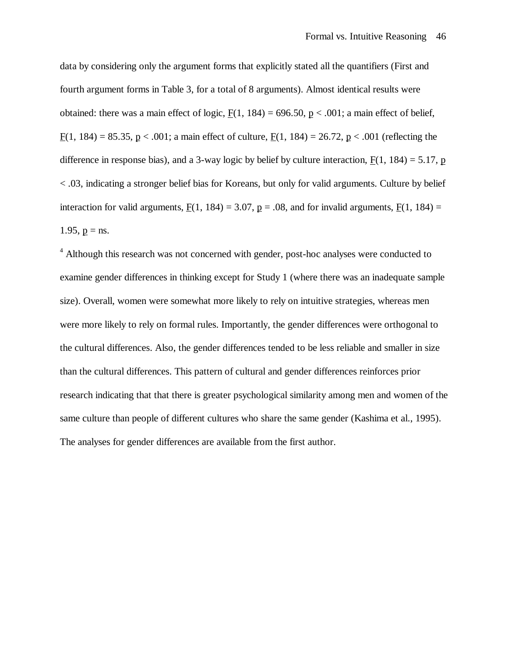data by considering only the argument forms that explicitly stated all the quantifiers (First and fourth argument forms in Table 3, for a total of 8 arguments). Almost identical results were obtained: there was a main effect of logic,  $F(1, 184) = 696.50$ ,  $p < .001$ ; a main effect of belief,  $F(1, 184) = 85.35, p < .001$ ; a main effect of culture,  $F(1, 184) = 26.72, p < .001$  (reflecting the difference in response bias), and a 3-way logic by belief by culture interaction,  $F(1, 184) = 5.17$ , p < .03, indicating a stronger belief bias for Koreans, but only for valid arguments. Culture by belief interaction for valid arguments,  $F(1, 184) = 3.07$ ,  $p = .08$ , and for invalid arguments,  $F(1, 184) =$ 1.95,  $p = ns$ .

<sup>4</sup> Although this research was not concerned with gender, post-hoc analyses were conducted to examine gender differences in thinking except for Study 1 (where there was an inadequate sample size). Overall, women were somewhat more likely to rely on intuitive strategies, whereas men were more likely to rely on formal rules. Importantly, the gender differences were orthogonal to the cultural differences. Also, the gender differences tended to be less reliable and smaller in size than the cultural differences. This pattern of cultural and gender differences reinforces prior research indicating that that there is greater psychological similarity among men and women of the same culture than people of different cultures who share the same gender (Kashima et al., 1995). The analyses for gender differences are available from the first author.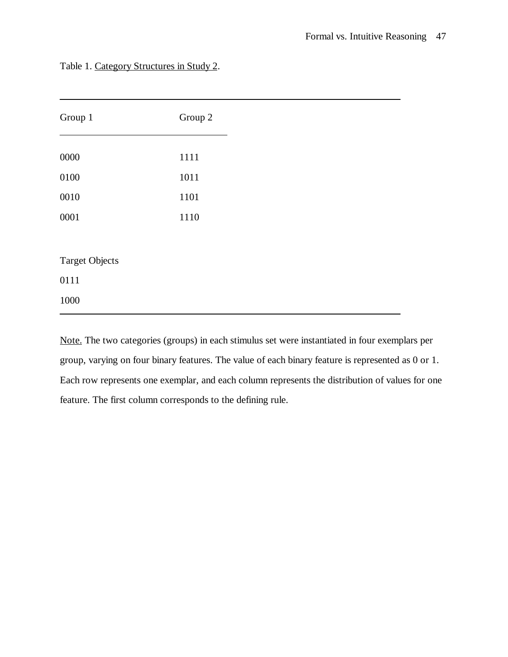| Group 1               | Group 2 |
|-----------------------|---------|
| 0000                  | 1111    |
| 0100                  | 1011    |
| 0010                  | 1101    |
| 0001                  | 1110    |
|                       |         |
| <b>Target Objects</b> |         |
| 0111                  |         |
| 1000                  |         |

Table 1. Category Structures in Study 2.

Note. The two categories (groups) in each stimulus set were instantiated in four exemplars per group, varying on four binary features. The value of each binary feature is represented as 0 or 1. Each row represents one exemplar, and each column represents the distribution of values for one feature. The first column corresponds to the defining rule.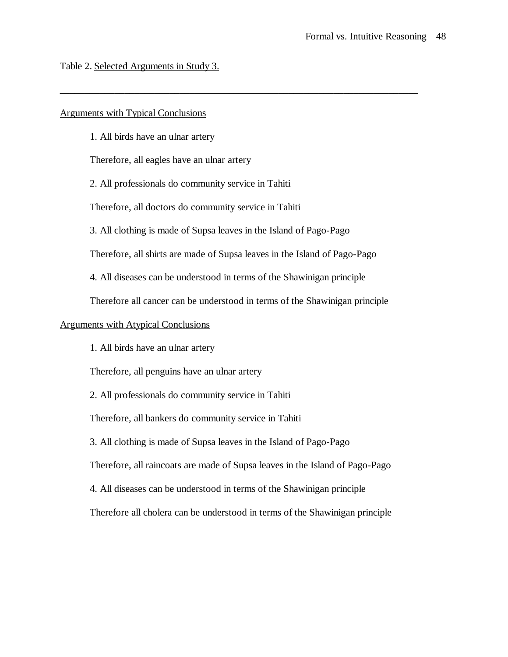Table 2. Selected Arguments in Study 3.

# Arguments with Typical Conclusions

1. All birds have an ulnar artery

Therefore, all eagles have an ulnar artery

2. All professionals do community service in Tahiti

Therefore, all doctors do community service in Tahiti

3. All clothing is made of Supsa leaves in the Island of Pago-Pago

Therefore, all shirts are made of Supsa leaves in the Island of Pago-Pago

\_\_\_\_\_\_\_\_\_\_\_\_\_\_\_\_\_\_\_\_\_\_\_\_\_\_\_\_\_\_\_\_\_\_\_\_\_\_\_\_\_\_\_\_\_\_\_\_\_\_\_\_\_\_\_\_\_\_\_\_\_\_\_\_\_\_\_\_\_\_\_\_

4. All diseases can be understood in terms of the Shawinigan principle

Therefore all cancer can be understood in terms of the Shawinigan principle

# Arguments with Atypical Conclusions

1. All birds have an ulnar artery

Therefore, all penguins have an ulnar artery

2. All professionals do community service in Tahiti

Therefore, all bankers do community service in Tahiti

3. All clothing is made of Supsa leaves in the Island of Pago-Pago

Therefore, all raincoats are made of Supsa leaves in the Island of Pago-Pago

4. All diseases can be understood in terms of the Shawinigan principle

Therefore all cholera can be understood in terms of the Shawinigan principle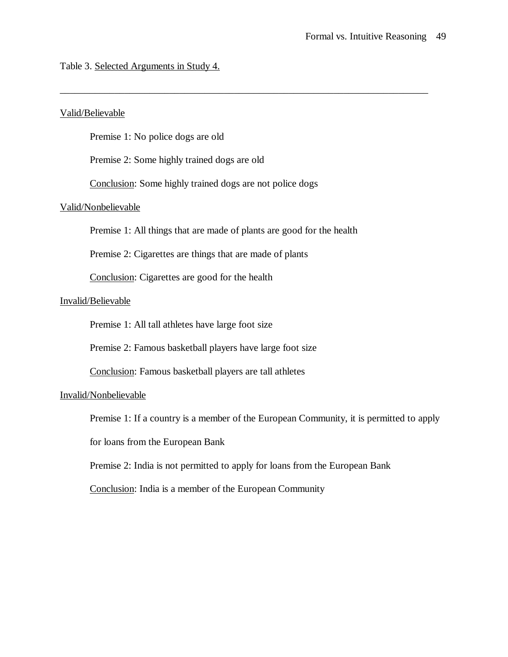# Table 3. Selected Arguments in Study 4.

# Valid/Believable

Premise 1: No police dogs are old

Premise 2: Some highly trained dogs are old

Conclusion: Some highly trained dogs are not police dogs

# Valid/Nonbelievable

Premise 1: All things that are made of plants are good for the health

\_\_\_\_\_\_\_\_\_\_\_\_\_\_\_\_\_\_\_\_\_\_\_\_\_\_\_\_\_\_\_\_\_\_\_\_\_\_\_\_\_\_\_\_\_\_\_\_\_\_\_\_\_\_\_\_\_\_\_\_\_\_\_\_\_\_\_\_\_\_\_\_\_\_

Premise 2: Cigarettes are things that are made of plants

Conclusion: Cigarettes are good for the health

# Invalid/Believable

Premise 1: All tall athletes have large foot size

Premise 2: Famous basketball players have large foot size

Conclusion: Famous basketball players are tall athletes

# Invalid/Nonbelievable

Premise 1: If a country is a member of the European Community, it is permitted to apply

for loans from the European Bank

Premise 2: India is not permitted to apply for loans from the European Bank

Conclusion: India is a member of the European Community